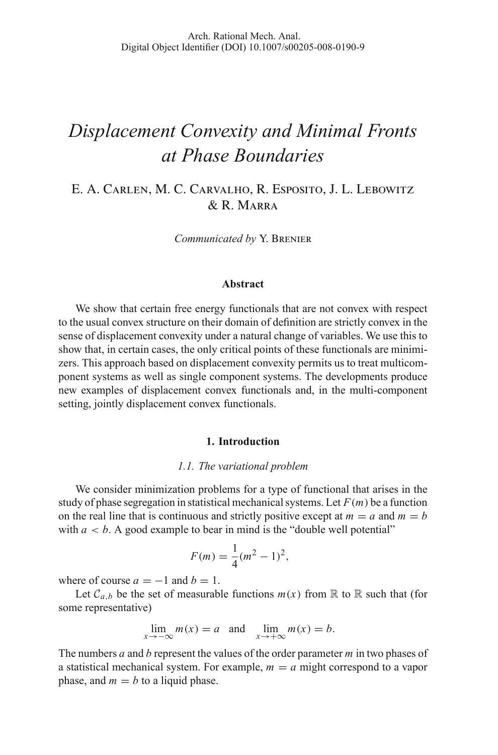# *Displacement Convexity and Minimal Fronts at Phase Boundaries*

E. A. Carlen, M. C. Carvalho, R. Esposito, J. L. Lebowitz & R. Marra

*Communicated by* Y. Brenier

#### **Abstract**

We show that certain free energy functionals that are not convex with respect to the usual convex structure on their domain of definition are strictly convex in the sense of displacement convexity under a natural change of variables. We use this to show that, in certain cases, the only critical points of these functionals are minimizers. This approach based on displacement convexity permits us to treat multicomponent systems as well as single component systems. The developments produce new examples of displacement convex functionals and, in the multi-component setting, jointly displacement convex functionals.

#### **1. Introduction**

#### *1.1. The variational problem*

We consider minimization problems for a type of functional that arises in the study of phase segregation in statistical mechanical systems. Let  $F(m)$  be a function on the real line that is continuous and strictly positive except at  $m = a$  and  $m = b$ with  $a < b$ . A good example to bear in mind is the "double well potential"

$$
F(m) = \frac{1}{4}(m^2 - 1)^2,
$$

where of course  $a = -1$  and  $b = 1$ .

Let  $C_{a,b}$  be the set of measurable functions  $m(x)$  from R to R such that (for some representative)

$$
\lim_{x \to -\infty} m(x) = a \text{ and } \lim_{x \to +\infty} m(x) = b.
$$

The numbers *a* and *b* represent the values of the order parameter *m* in two phases of a statistical mechanical system. For example,  $m = a$  might correspond to a vapor phase, and  $m = b$  to a liquid phase.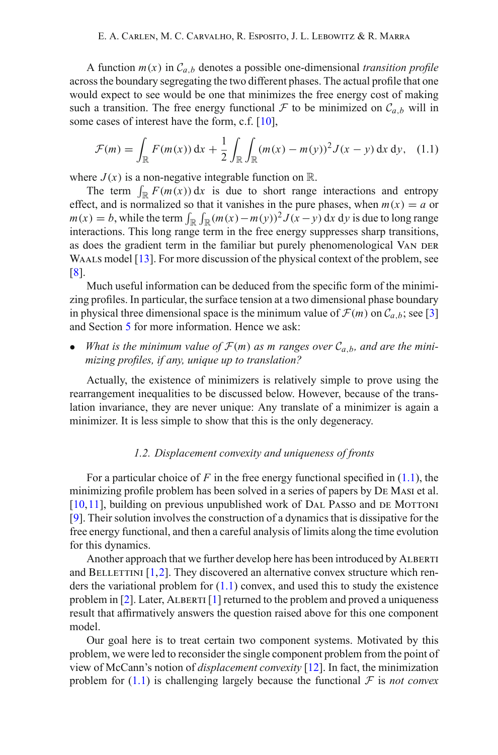A function  $m(x)$  in  $C_{a,b}$  denotes a possible one-dimensional *transition profile* across the boundary segregating the two different phases. The actual profile that one would expect to see would be one that minimizes the free energy cost of making such a transition. The free energy functional  $F$  to be minimized on  $C_{a,b}$  will in some cases of interest have the form, c.f. [\[10\]](#page-23-0),

$$
\mathcal{F}(m) = \int_{\mathbb{R}} F(m(x)) dx + \frac{1}{2} \int_{\mathbb{R}} \int_{\mathbb{R}} (m(x) - m(y))^2 J(x - y) dx dy, \quad (1.1)
$$

<span id="page-1-0"></span>where  $J(x)$  is a non-negative integrable function on  $\mathbb{R}$ .

The term  $\int_{\mathbb{R}} F(m(x)) dx$  is due to short range interactions and entropy effect, and is normalized so that it vanishes in the pure phases, when  $m(x) = a$  or  $m(x) = b$ , while the term  $\int_{\mathbb{R}} \int_{\mathbb{R}} (m(x) - m(y))^2 J(x - y) dx dy$  is due to long range interactions. This long range term in the free energy suppresses sharp transitions, as does the gradient term in the familiar but purely phenomenological VAN DER WAALS model [\[13](#page-23-1)]. For more discussion of the physical context of the problem, see [\[8\]](#page-23-2).

Much useful information can be deduced from the specific form of the minimizing profiles. In particular, the surface tension at a two dimensional phase boundary in physical three dimensional space is the minimum value of  $\mathcal{F}(m)$  on  $\mathcal{C}_{a,b}$ ; see [\[3\]](#page-23-3) and Section [5](#page-10-0) for more information. Hence we ask:

• *What is the minimum value of*  $\mathcal{F}(m)$  *as m ranges over*  $\mathcal{C}_{a,b}$ *, and are the minimizing profiles, if any, unique up to translation?*

Actually, the existence of minimizers is relatively simple to prove using the rearrangement inequalities to be discussed below. However, because of the translation invariance, they are never unique: Any translate of a minimizer is again a minimizer. It is less simple to show that this is the only degeneracy.

# *1.2. Displacement convexity and uniqueness of fronts*

For a particular choice of  $F$  in the free energy functional specified in  $(1.1)$ , the minimizing profile problem has been solved in a series of papers by De Masi et al.  $[10,11]$  $[10,11]$ , building on previous unpublished work of DAL Passo and DE MOTTONI [\[9\]](#page-23-5). Their solution involves the construction of a dynamics that is dissipative for the free energy functional, and then a careful analysis of limits along the time evolution for this dynamics.

Another approach that we further develop here has been introduced by ALBERTI and BELLETTINI  $[1,2]$  $[1,2]$  $[1,2]$ . They discovered an alternative convex structure which renders the variational problem for  $(1.1)$  convex, and used this to study the existence problem in  $[2]$  $[2]$ . Later, ALBERTI  $[1]$  $[1]$  returned to the problem and proved a uniqueness result that affirmatively answers the question raised above for this one component model.

Our goal here is to treat certain two component systems. Motivated by this problem, we were led to reconsider the single component problem from the point of view of McCann's notion of *displacement convexity* [\[12\]](#page-23-6). In fact, the minimization problem for  $(1.1)$  is challenging largely because the functional  $\mathcal F$  is *not convex*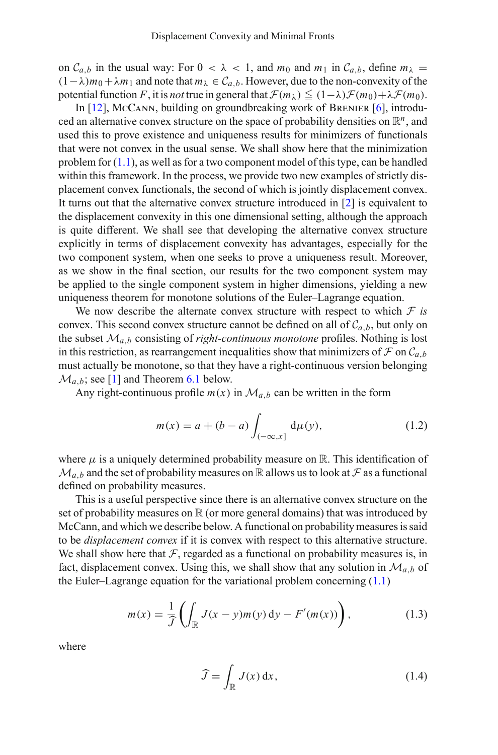on  $C_{a,b}$  in the usual way: For  $0 < \lambda < 1$ , and  $m_0$  and  $m_1$  in  $C_{a,b}$ , define  $m_\lambda =$  $(1-\lambda)m_0+\lambda m_1$  and note that  $m_\lambda \in C_{a,b}$ . However, due to the non-convexity of the potential function *F*, it is *not* true in general that  $\mathcal{F}(m_\lambda) \leq (1-\lambda)\mathcal{F}(m_0)+\lambda\mathcal{F}(m_0)$ .

In [\[12\]](#page-23-6), McCann, building on groundbreaking work of BRENIER [\[6\]](#page-23-7), introduced an alternative convex structure on the space of probability densities on  $\mathbb{R}^n$ , and used this to prove existence and uniqueness results for minimizers of functionals that were not convex in the usual sense. We shall show here that the minimization problem for  $(1,1)$ , as well as for a two component model of this type, can be handled within this framework. In the process, we provide two new examples of strictly displacement convex functionals, the second of which is jointly displacement convex. It turns out that the alternative convex structure introduced in [\[2\]](#page-22-1) is equivalent to the displacement convexity in this one dimensional setting, although the approach is quite different. We shall see that developing the alternative convex structure explicitly in terms of displacement convexity has advantages, especially for the two component system, when one seeks to prove a uniqueness result. Moreover, as we show in the final section, our results for the two component system may be applied to the single component system in higher dimensions, yielding a new uniqueness theorem for monotone solutions of the Euler–Lagrange equation.

We now describe the alternate convex structure with respect to which  $F$  *is* convex. This second convex structure cannot be defined on all of  $C_{a,b}$ , but only on the subset  $\mathcal{M}_{a,b}$  consisting of *right-continuous monotone* profiles. Nothing is lost in this restriction, as rearrangement inequalities show that minimizers of  $\mathcal F$  on  $\mathcal C_{a,b}$ must actually be monotone, so that they have a right-continuous version belonging  $\mathcal{M}_{a,b}$ ; see [\[1](#page-22-0)] and Theorem [6.1](#page-17-0) below.

<span id="page-2-1"></span>Any right-continuous profile  $m(x)$  in  $\mathcal{M}_{a,b}$  can be written in the form

$$
m(x) = a + (b - a) \int_{(-\infty, x]} d\mu(y),
$$
 (1.2)

where  $\mu$  is a uniquely determined probability measure on  $\mathbb R$ . This identification of  $\mathcal{M}_{a,b}$  and the set of probability measures on R allows us to look at *F* as a functional defined on probability measures.

This is a useful perspective since there is an alternative convex structure on the set of probability measures on  $\mathbb R$  (or more general domains) that was introduced by McCann, and which we describe below. A functional on probability measures is said to be *displacement convex* if it is convex with respect to this alternative structure. We shall show here that  $F$ , regarded as a functional on probability measures is, in fact, displacement convex. Using this, we shall show that any solution in  $\mathcal{M}_{a,b}$  of the Euler–Lagrange equation for the variational problem concerning [\(1.1\)](#page-1-0)

$$
m(x) = \frac{1}{\widehat{J}}\left(\int_{\mathbb{R}} J(x-y)m(y) dy - F'(m(x))\right),\tag{1.3}
$$

<span id="page-2-0"></span>where

$$
\widehat{J} = \int_{\mathbb{R}} J(x) \, \mathrm{d}x,\tag{1.4}
$$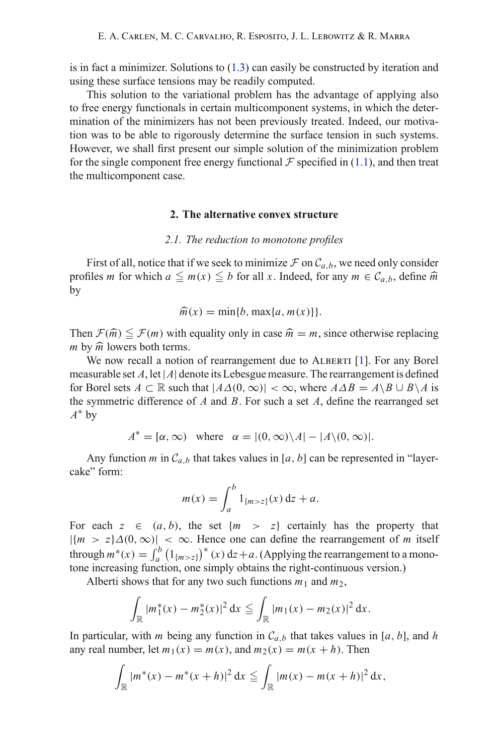is in fact a minimizer. Solutions to  $(1.3)$  can easily be constructed by iteration and using these surface tensions may be readily computed.

This solution to the variational problem has the advantage of applying also to free energy functionals in certain multicomponent systems, in which the determination of the minimizers has not been previously treated. Indeed, our motivation was to be able to rigorously determine the surface tension in such systems. However, we shall first present our simple solution of the minimization problem for the single component free energy functional  $\mathcal F$  specified in [\(1.1\)](#page-1-0), and then treat the multicomponent case.

# **2. The alternative convex structure**

### *2.1. The reduction to monotone profiles*

First of all, notice that if we seek to minimize  $\mathcal F$  on  $\mathcal C_{a,b}$ , we need only consider profiles *m* for which  $a \leq m(x) \leq b$  for all *x*. Indeed, for any  $m \in C_{a,b}$ , define  $\hat{m}$ by

$$
\widehat{m}(x) = \min\{b, \max\{a, m(x)\}\}.
$$

Then  $\mathcal{F}(\hat{m}) \leq \mathcal{F}(m)$  with equality only in case  $\hat{m} = m$ , since otherwise replacing *m* by  $\hat{m}$  lowers both terms.

We now recall a notion of rearrangement due to ALBERTI [\[1\]](#page-22-0). For any Borel measurable set  $A$ , let  $|A|$  denote its Lebesgue measure. The rearrangement is defined for Borel sets  $A \subset \mathbb{R}$  such that  $|A\Delta(0, \infty)| < \infty$ , where  $A\Delta B = A\setminus B \cup B\setminus A$  is the symmetric difference of *A* and *B*. For such a set *A*, define the rearranged set *A*<sup>∗</sup> by

 $A^* = [\alpha, \infty)$  where  $\alpha = |(0, \infty) \setminus A| - |A \setminus (0, \infty)|$ .

Any function *m* in  $C_{a,b}$  that takes values in [a, b] can be represented in "layercake" form:

$$
m(x) = \int_{a}^{b} 1_{\{m > z\}}(x) \, \mathrm{d}z + a.
$$

For each  $z \in (a, b)$ , the set  $\{m > z\}$  certainly has the property that  $|\{m > z\}\Delta(0, \infty)| < \infty$ . Hence one can define the rearrangement of *m* itself through  $m^*(x) = \int_a^b$  $\int_a^b (1_{\{m>z\}})^*(x) dz + a$ . (Applying the rearrangement to a monotone increasing function, one simply obtains the right-continuous version.)

Alberti shows that for any two such functions  $m_1$  and  $m_2$ ,

$$
\int_{\mathbb{R}} |m_1^*(x) - m_2^*(x)|^2 dx \leqq \int_{\mathbb{R}} |m_1(x) - m_2(x)|^2 dx.
$$

In particular, with *m* being any function in  $C_{a,b}$  that takes values in [*a*, *b*], and *h* any real number, let  $m_1(x) = m(x)$ , and  $m_2(x) = m(x + h)$ . Then

$$
\int_{\mathbb{R}} |m^*(x) - m^*(x+h)|^2 dx \leqq \int_{\mathbb{R}} |m(x) - m(x+h)|^2 dx,
$$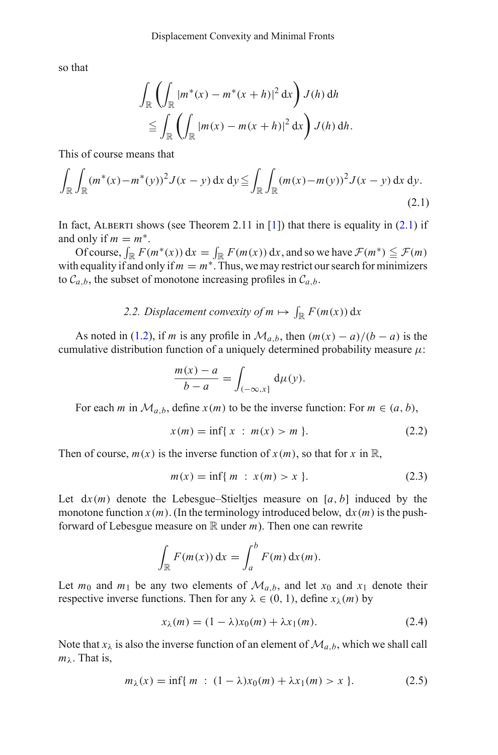so that

$$
\int_{\mathbb{R}} \left( \int_{\mathbb{R}} |m^*(x) - m^*(x+h)|^2 dx \right) J(h) dh
$$
  
\n
$$
\leq \int_{\mathbb{R}} \left( \int_{\mathbb{R}} |m(x) - m(x+h)|^2 dx \right) J(h) dh.
$$

This of course means that

<span id="page-4-0"></span>
$$
\int_{\mathbb{R}} \int_{\mathbb{R}} (m^*(x) - m^*(y))^2 J(x - y) \, dx \, dy \leqq \int_{\mathbb{R}} \int_{\mathbb{R}} (m(x) - m(y))^2 J(x - y) \, dx \, dy.
$$
\n(2.1)

In fact, ALBERTI shows (see Theorem 2.11 in [\[1\]](#page-22-0)) that there is equality in  $(2.1)$  if and only if  $m = m^*$ .

Of course,  $\int_{\mathbb{R}} F(m^*(x)) dx = \int_{\mathbb{R}} F(m(x)) dx$ , and so we have  $\mathcal{F}(m^*) \leq \mathcal{F}(m)$ with equality if and only if  $m = m^*$ . Thus, we may restrict our search for minimizers to  $C_{a,b}$ , the subset of monotone increasing profiles in  $C_{a,b}$ .

# 2.2. Displacement convexity of  $m \mapsto \int_{\mathbb{R}} F(m(x)) dx$

As noted in [\(1.2\)](#page-2-1), if *m* is any profile in  $\mathcal{M}_{a,b}$ , then  $(m(x) - a)/(b - a)$  is the cumulative distribution function of a uniquely determined probability measure  $\mu$ :

$$
\frac{m(x) - a}{b - a} = \int_{(-\infty, x]} d\mu(y).
$$

For each *m* in  $\mathcal{M}_{a,b}$ , define  $x(m)$  to be the inverse function: For  $m \in (a, b)$ ,

$$
x(m) = \inf\{x : m(x) > m\}.
$$
 (2.2)

Then of course,  $m(x)$  is the inverse function of  $x(m)$ , so that for  $x$  in  $\mathbb{R}$ ,

$$
m(x) = \inf\{m : x(m) > x\}.
$$
 (2.3)

Let  $dx(m)$  denote the Lebesgue–Stieltjes measure on [ $a, b$ ] induced by the monotone function  $x(m)$ . (In the terminology introduced below,  $dx(m)$  is the pushforward of Lebesgue measure on  $\mathbb R$  under  $m$ ). Then one can rewrite

$$
\int_{\mathbb{R}} F(m(x)) dx = \int_{a}^{b} F(m) dx(m).
$$

Let  $m_0$  and  $m_1$  be any two elements of  $\mathcal{M}_{a,b}$ , and let  $x_0$  and  $x_1$  denote their respective inverse functions. Then for any  $\lambda \in (0, 1)$ , define  $x_{\lambda}(m)$  by

$$
x_{\lambda}(m) = (1 - \lambda)x_0(m) + \lambda x_1(m). \tag{2.4}
$$

<span id="page-4-2"></span><span id="page-4-1"></span>Note that  $x_{\lambda}$  is also the inverse function of an element of  $\mathcal{M}_{a,b}$ , which we shall call  $m_{\lambda}$ . That is,

$$
m_{\lambda}(x) = \inf\{m : (1 - \lambda)x_0(m) + \lambda x_1(m) > x\}.
$$
 (2.5)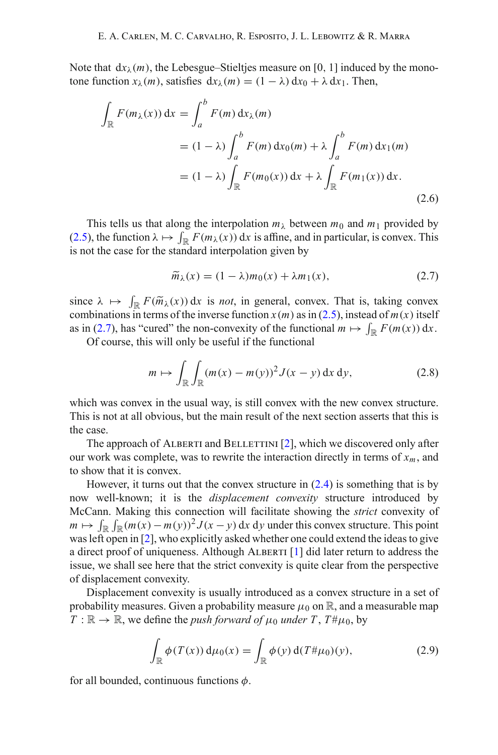Note that  $dx_{\lambda}(m)$ , the Lebesgue–Stieltjes measure on [0, 1] induced by the monotone function  $x_\lambda(m)$ , satisfies  $dx_\lambda(m) = (1 - \lambda) dx_0 + \lambda dx_1$ . Then,

$$
\int_{\mathbb{R}} F(m_{\lambda}(x)) dx = \int_{a}^{b} F(m) dx_{\lambda}(m)
$$
\n
$$
= (1 - \lambda) \int_{a}^{b} F(m) dx_{0}(m) + \lambda \int_{a}^{b} F(m) dx_{1}(m)
$$
\n
$$
= (1 - \lambda) \int_{\mathbb{R}} F(m_{0}(x)) dx + \lambda \int_{\mathbb{R}} F(m_{1}(x)) dx.
$$
\n(2.6)

This tells us that along the interpolation  $m_\lambda$  between  $m_0$  and  $m_1$  provided by [\(2.5\)](#page-4-1), the function  $\lambda \mapsto \int_{\mathbb{R}} F(m_{\lambda}(x)) dx$  is affine, and in particular, is convex. This is not the case for the standard interpolation given by

$$
\widetilde{m}_{\lambda}(x) = (1 - \lambda)m_0(x) + \lambda m_1(x),\tag{2.7}
$$

<span id="page-5-0"></span>since  $\lambda \mapsto \int_{\mathbb{R}} F(\widetilde{m}_{\lambda}(x)) dx$  is *not*, in general, convex. That is, taking convex combinations in terms of the inverse function  $x(m)$  as in (2.5) instead of  $m(x)$  itself combinations in terms of the inverse function  $x(m)$  as in [\(2.5\)](#page-4-1), instead of  $m(x)$  itself as in [\(2.7\)](#page-5-0), has "cured" the non-convexity of the functional  $m \mapsto \int_{\mathbb{R}} F(m(x)) dx$ .

Of course, this will only be useful if the functional

$$
m \mapsto \int_{\mathbb{R}} \int_{\mathbb{R}} (m(x) - m(y))^2 J(x - y) \, \mathrm{d}x \, \mathrm{d}y,\tag{2.8}
$$

which was convex in the usual way, is still convex with the new convex structure. This is not at all obvious, but the main result of the next section asserts that this is the case.

The approach of ALBERTI and BELLETTINI  $[2]$  $[2]$ , which we discovered only after our work was complete, was to rewrite the interaction directly in terms of  $x_m$ , and to show that it is convex.

However, it turns out that the convex structure in  $(2.4)$  is something that is by now well-known; it is the *displacement convexity* structure introduced by McCann. Making this connection will facilitate showing the *strict* convexity of *m*  $\mapsto \int_{\mathbb{R}} \int_{\mathbb{R}} (m(x) - m(y))^2 J(x - y) dx dy$  under this convex structure. This point was left open in [\[2\]](#page-22-1), who explicitly asked whether one could extend the ideas to give a direct proof of uniqueness. Although ALBERTI  $\lceil 1 \rceil$  did later return to address the issue, we shall see here that the strict convexity is quite clear from the perspective of displacement convexity.

Displacement convexity is usually introduced as a convex structure in a set of probability measures. Given a probability measure  $\mu_0$  on  $\mathbb{R}$ , and a measurable map  $T : \mathbb{R} \to \mathbb{R}$ , we define the *push forward of*  $\mu_0$  *under*  $T$ ,  $T \neq \mu_0$ , by

$$
\int_{\mathbb{R}} \phi(T(x)) d\mu_0(x) = \int_{\mathbb{R}} \phi(y) d(T \# \mu_0)(y), \tag{2.9}
$$

for all bounded, continuous functions  $\phi$ .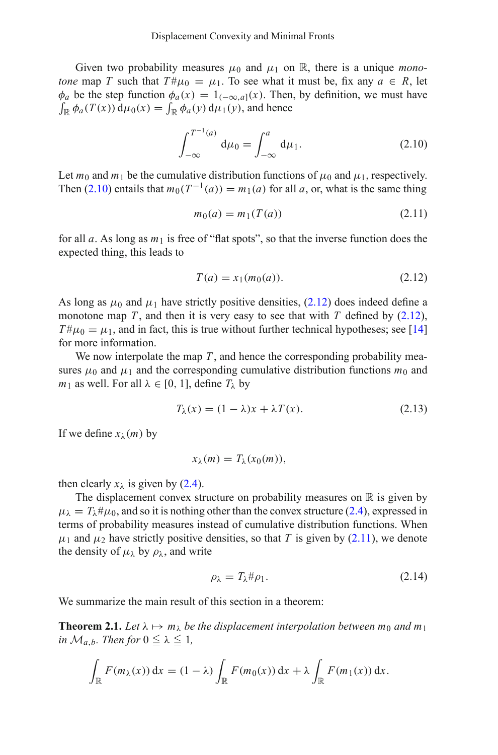Given two probability measures  $\mu_0$  and  $\mu_1$  on R, there is a unique *monotone* map *T* such that  $T \# \mu_0 = \mu_1$ . To see what it must be, fix any  $a \in R$ , let  $\phi_a$  be the step function  $\phi_a(x) = 1_{(-\infty, a]}(x)$ . Then, by definition, we must have  $\int_{\mathbb{R}} \phi_a(T(x)) d\mu_0(x) = \int_{\mathbb{R}} \phi_a(y) d\mu_1(y)$ , and hence

$$
\int_{-\infty}^{T^{-1}(a)} d\mu_0 = \int_{-\infty}^a d\mu_1.
$$
 (2.10)

<span id="page-6-0"></span>Let  $m_0$  and  $m_1$  be the cumulative distribution functions of  $\mu_0$  and  $\mu_1$ , respectively. Then [\(2.10\)](#page-6-0) entails that  $m_0(T^{-1}(a)) = m_1(a)$  for all *a*, or, what is the same thing

$$
m_0(a) = m_1(T(a))
$$
 (2.11)

<span id="page-6-2"></span>for all *a*. As long as *m*<sup>1</sup> is free of "flat spots", so that the inverse function does the expected thing, this leads to

$$
T(a) = x_1(m_0(a)).
$$
\n(2.12)

<span id="page-6-1"></span>As long as  $\mu_0$  and  $\mu_1$  have strictly positive densities, [\(2.12\)](#page-6-1) does indeed define a monotone map *T*, and then it is very easy to see that with *T* defined by  $(2.12)$ ,  $T\#\mu_0 = \mu_1$ , and in fact, this is true without further technical hypotheses; see [\[14](#page-23-8)] for more information.

We now interpolate the map *T*, and hence the corresponding probability measures  $\mu_0$  and  $\mu_1$  and the corresponding cumulative distribution functions  $m_0$  and *m*<sub>1</sub> as well. For all  $\lambda \in [0, 1]$ , define  $T_{\lambda}$  by

$$
T_{\lambda}(x) = (1 - \lambda)x + \lambda T(x). \tag{2.13}
$$

If we define  $x_{\lambda}(m)$  by

$$
x_{\lambda}(m)=T_{\lambda}(x_0(m)),
$$

then clearly  $x_{\lambda}$  is given by [\(2.4\)](#page-4-2).

The displacement convex structure on probability measures on  $\mathbb R$  is given by  $\mu_{\lambda} = T_{\lambda} \# \mu_0$ , and so it is nothing other than the convex structure [\(2.4\)](#page-4-2), expressed in terms of probability measures instead of cumulative distribution functions. When  $\mu_1$  and  $\mu_2$  have strictly positive densities, so that *T* is given by [\(2.11\)](#page-6-2), we denote the density of  $\mu_{\lambda}$  by  $\rho_{\lambda}$ , and write

$$
\rho_{\lambda} = T_{\lambda} \# \rho_1. \tag{2.14}
$$

<span id="page-6-3"></span>We summarize the main result of this section in a theorem:

**Theorem 2.1.** Let  $\lambda \mapsto m_{\lambda}$  be the displacement interpolation between  $m_0$  and  $m_1$ *in*  $\mathcal{M}_{a,b}$ *. Then for*  $0 \leq \lambda \leq 1$ *,* 

$$
\int_{\mathbb{R}} F(m_{\lambda}(x)) dx = (1 - \lambda) \int_{\mathbb{R}} F(m_0(x)) dx + \lambda \int_{\mathbb{R}} F(m_1(x)) dx.
$$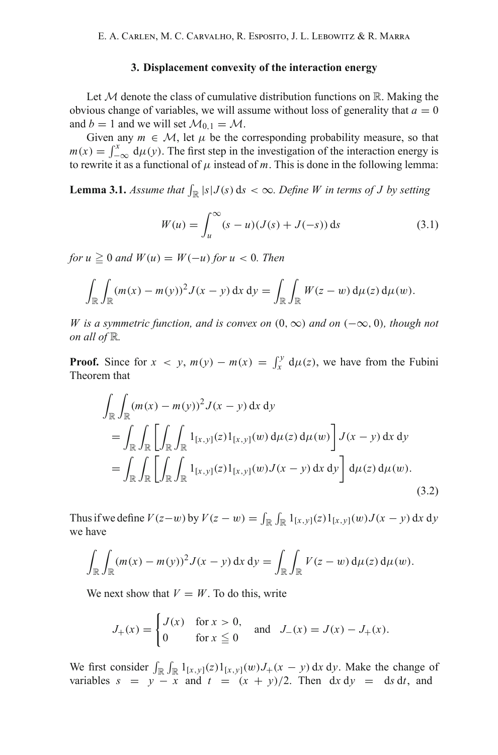### **3. Displacement convexity of the interaction energy**

Let  $M$  denote the class of cumulative distribution functions on  $\mathbb{R}$ . Making the obvious change of variables, we will assume without loss of generality that  $a = 0$ and  $b = 1$  and we will set  $\mathcal{M}_{0,1} = \mathcal{M}$ .

Given any  $m \in \mathcal{M}$ , let  $\mu$  be the corresponding probability measure, so that  $m(x) = \int_{-\infty}^{x} d\mu(y)$ . The first step in the investigation of the interaction energy is to rewrite it as a functional of  $\mu$  instead of *m*. This is done in the following lemma:

<span id="page-7-1"></span><span id="page-7-0"></span>**Lemma 3.1.** *Assume that*  $\int_{\mathbb{R}} |s| J(s) ds < \infty$ . Define W in terms of J by setting

$$
W(u) = \int_{u}^{\infty} (s - u)(J(s) + J(-s)) \, ds \tag{3.1}
$$

 $for u \geq 0$  and  $W(u) = W(-u)$  for  $u < 0$ . Then

$$
\int_{\mathbb{R}} \int_{\mathbb{R}} (m(x) - m(y))^2 J(x - y) dx dy = \int_{\mathbb{R}} \int_{\mathbb{R}} W(z - w) d\mu(z) d\mu(w).
$$

*W is a symmetric function, and is convex on* (0,∞) *and on* (−∞, 0)*, though not on all of* R*.*

**Proof.** Since for  $x < y$ ,  $m(y) - m(x) = \int_x^y d\mu(z)$ , we have from the Fubini Theorem that

$$
\int_{\mathbb{R}} \int_{\mathbb{R}} (m(x) - m(y))^2 J(x - y) dx dy
$$
\n
$$
= \int_{\mathbb{R}} \int_{\mathbb{R}} \left[ \int_{\mathbb{R}} \int_{\mathbb{R}} 1_{[x, y]}(z) 1_{[x, y]}(w) d\mu(z) d\mu(w) \right] J(x - y) dx dy
$$
\n
$$
= \int_{\mathbb{R}} \int_{\mathbb{R}} \left[ \int_{\mathbb{R}} \int_{\mathbb{R}} 1_{[x, y]}(z) 1_{[x, y]}(w) J(x - y) dx dy \right] d\mu(z) d\mu(w).
$$
\n(3.2)

Thus if we define  $V(z-w)$  by  $V(z-w) = \int_{\mathbb{R}} \int_{\mathbb{R}} 1_{[x,y]}(z) 1_{[x,y]}(w) J(x - y) dx dy$ we have

$$
\int_{\mathbb{R}} \int_{\mathbb{R}} (m(x) - m(y))^2 J(x - y) \, dx \, dy = \int_{\mathbb{R}} \int_{\mathbb{R}} V(z - w) \, d\mu(z) \, d\mu(w).
$$

We next show that  $V = W$ . To do this, write

$$
J_{+}(x) = \begin{cases} J(x) & \text{for } x > 0, \\ 0 & \text{for } x \le 0 \end{cases} \text{ and } J_{-}(x) = J(x) - J_{+}(x).
$$

We first consider  $\int_{\mathbb{R}} \int_{\mathbb{R}} 1_{[x,y]}(z) 1_{[x,y]}(w) J_+(x-y) dx dy$ . Make the change of variables  $s = y - x$  and  $t = (x + y)/2$ . Then dx dy = ds dt, and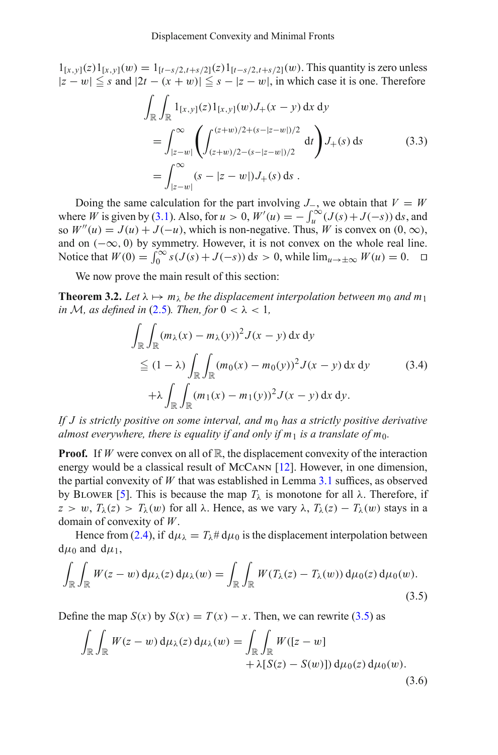$1_{[x,y]}(z)1_{[x,y]}(w) = 1_{[t-s/2,t+s/2]}(z)1_{[t-s/2,t+s/2]}(w)$ . This quantity is zero unless  $|z - w| \leq s$  and  $|2t - (x + w)| \leq s - |z - w|$ , in which case it is one. Therefore

$$
\int_{\mathbb{R}} \int_{\mathbb{R}} 1_{[x,y]}(z) 1_{[x,y]}(w) J_{+}(x - y) dx dy
$$
\n
$$
= \int_{|z-w|}^{\infty} \left( \int_{(z+w)/2 - (s - |z-w|)/2}^{(z+w)/2 + (s - |z-w|)/2} dt \right) J_{+}(s) ds \tag{3.3}
$$
\n
$$
= \int_{|z-w|}^{\infty} (s - |z-w|) J_{+}(s) ds.
$$

Doing the same calculation for the part involving  $J_$ , we obtain that  $V = W$ where *W* is given by [\(3.1\)](#page-7-0). Also, for  $u > 0$ ,  $W'(u) = -\int_u^\infty (J(s) + J(-s)) ds$ , and so  $W''(u) = J(u) + J(-u)$ , which is non-negative. Thus, *W* is convex on  $(0, \infty)$ , and on  $(-\infty, 0)$  by symmetry. However, it is not convex on the whole real line. Notice that  $W(0) = \int_0^\infty s(J(s) + J(-s)) ds > 0$ , while  $\lim_{u \to \pm \infty} W(u) = 0$ .  $\Box$ 

We now prove the main result of this section:

<span id="page-8-3"></span><span id="page-8-2"></span>**Theorem 3.2.** Let  $\lambda \mapsto m_{\lambda}$  be the displacement interpolation between  $m_0$  and  $m_1$ *in M, as defined in* [\(2.5\)](#page-4-1)*. Then, for*  $0 < \lambda < 1$ *,* 

$$
\int_{\mathbb{R}} \int_{\mathbb{R}} (m_{\lambda}(x) - m_{\lambda}(y))^2 J(x - y) dx dy
$$
\n
$$
\leq (1 - \lambda) \int_{\mathbb{R}} \int_{\mathbb{R}} (m_0(x) - m_0(y))^2 J(x - y) dx dy
$$
\n
$$
+ \lambda \int_{\mathbb{R}} \int_{\mathbb{R}} (m_1(x) - m_1(y))^2 J(x - y) dx dy.
$$
\n(3.4)

*If J is strictly positive on some interval, and m*<sup>0</sup> *has a strictly positive derivative almost everywhere, there is equality if and only if m<sub>1</sub> is a translate of m<sub>0</sub>.* 

**Proof.** If *W* were convex on all of R, the displacement convexity of the interaction energy would be a classical result of McCann [\[12](#page-23-6)]. However, in one dimension, the partial convexity of *W* that was established in Lemma [3.1](#page-7-1) suffices, as observed by BLOWER [\[5\]](#page-23-9). This is because the map  $T_{\lambda}$  is monotone for all  $\lambda$ . Therefore, if  $z > w$ ,  $T_{\lambda}(z) > T_{\lambda}(w)$  for all  $\lambda$ . Hence, as we vary  $\lambda$ ,  $T_{\lambda}(z) - T_{\lambda}(w)$  stays in a domain of convexity of *W*.

Hence from [\(2.4\)](#page-4-2), if  $d\mu_{\lambda} = T_{\lambda} \# d\mu_0$  is the displacement interpolation between  $d\mu_0$  and  $d\mu_1$ ,

<span id="page-8-0"></span>
$$
\int_{\mathbb{R}} \int_{\mathbb{R}} W(z - w) d\mu_{\lambda}(z) d\mu_{\lambda}(w) = \int_{\mathbb{R}} \int_{\mathbb{R}} W(T_{\lambda}(z) - T_{\lambda}(w)) d\mu_{0}(z) d\mu_{0}(w).
$$
\n(3.5)

<span id="page-8-1"></span>Define the map  $S(x)$  by  $S(x) = T(x) - x$ . Then, we can rewrite [\(3.5\)](#page-8-0) as

$$
\int_{\mathbb{R}} \int_{\mathbb{R}} W(z - w) d\mu_{\lambda}(z) d\mu_{\lambda}(w) = \int_{\mathbb{R}} \int_{\mathbb{R}} W([z - w] + \lambda [S(z) - S(w)]) d\mu_{0}(z) d\mu_{0}(w).
$$
\n(3.6)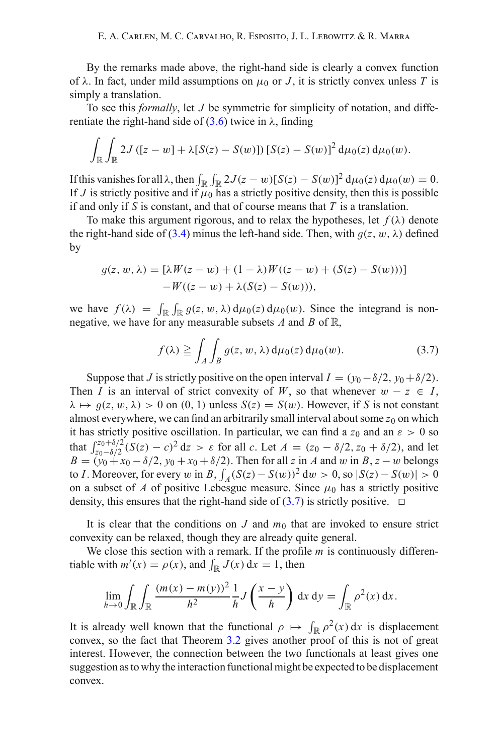By the remarks made above, the right-hand side is clearly a convex function of  $\lambda$ . In fact, under mild assumptions on  $\mu_0$  or *J*, it is strictly convex unless *T* is simply a translation.

To see this *formally*, let *J* be symmetric for simplicity of notation, and differentiate the right-hand side of  $(3.6)$  twice in  $\lambda$ , finding

$$
\int_{\mathbb{R}}\int_{\mathbb{R}}2J\left([z-w]+\lambda[S(z)-S(w)]\right)[S(z)-S(w)]^2\,\mathrm{d}\mu_0(z)\,\mathrm{d}\mu_0(w).
$$

If this vanishes for all  $\lambda$ , then  $\int_{\mathbb{R}} \int_{\mathbb{R}} 2J(z-w)[S(z)-S(w)]^2 d\mu_0(z) d\mu_0(w) = 0$ . If *J* is strictly positive and if  $\mu_0$  has a strictly positive density, then this is possible if and only if *S* is constant, and that of course means that *T* is a translation.

To make this argument rigorous, and to relax the hypotheses, let  $f(\lambda)$  denote the right-hand side of [\(3.4\)](#page-8-2) minus the left-hand side. Then, with  $q(z, w, \lambda)$  defined by

$$
g(z, w, \lambda) = [\lambda W(z - w) + (1 - \lambda)W((z - w) + (S(z) - S(w)))]
$$
  
-W((z - w) + \lambda(S(z) - S(w))),

we have  $f(\lambda) = \int_{\mathbb{R}} \int_{\mathbb{R}} g(z, w, \lambda) d\mu_0(z) d\mu_0(w)$ . Since the integrand is non-<br>negative we have for any measurable subsets A and B of  $\mathbb{R}$ negative, we have for any measurable subsets *A* and *B* of R,

$$
f(\lambda) \geqq \int_A \int_B g(z, w, \lambda) d\mu_0(z) d\mu_0(w).
$$
 (3.7)

<span id="page-9-0"></span>Suppose that *J* is strictly positive on the open interval  $I = (y_0 - \delta/2, y_0 + \delta/2)$ . Then *I* is an interval of strict convexity of *W*, so that whenever  $w - z \in I$ ,  $\lambda \mapsto g(z, w, \lambda) > 0$  on (0, 1) unless  $S(z) = S(w)$ . However, if *S* is not constant almost everywhere, we can find an arbitrarily small interval about some  $z_0$  on which it has strictly positive oscillation. In particular, we can find a  $z_0$  and an  $\varepsilon > 0$  so that  $\int_{z_0-\delta/2}^{z_0+\delta/2} (S(z)-c)^2 dz > \varepsilon$  for all *c*. Let  $A = (z_0-\delta/2, z_0+\delta/2)$ , and let  $B = (y_0 + x_0 - \delta/2, y_0 + x_0 + \delta/2)$ . Then for all *z* in *A* and w in *B*, *z* − w belongs to *I*. Moreover, for every w in *B*,  $\int_A (S(z) - S(w))^2 dw > 0$ , so  $|S(z) - S(w)| > 0$ on a subset of *A* of positive Lebesgue measure. Since  $\mu_0$  has a strictly positive density, this ensures that the right-hand side of  $(3.7)$  is strictly positive.  $\Box$ 

It is clear that the conditions on  $J$  and  $m_0$  that are invoked to ensure strict convexity can be relaxed, though they are already quite general.

We close this section with a remark. If the profile *m* is continuously differentiable with  $m'(x) = \rho(x)$ , and  $\int_{\mathbb{R}} J(x) dx = 1$ , then

$$
\lim_{h\to 0}\int_{\mathbb{R}}\int_{\mathbb{R}}\frac{(m(x)-m(y))^{2}}{h^{2}}\frac{1}{h}J\left(\frac{x-y}{h}\right) dx dy = \int_{\mathbb{R}}\rho^{2}(x) dx.
$$

It is already well known that the functional  $\rho \mapsto \int_{\mathbb{R}} \rho^2(x) dx$  is displacement convex, so the fact that Theorem [3.2](#page-8-3) gives another proof of this is not of great interest. However, the connection between the two functionals at least gives one suggestion as to why the interaction functional might be expected to be displacement convex.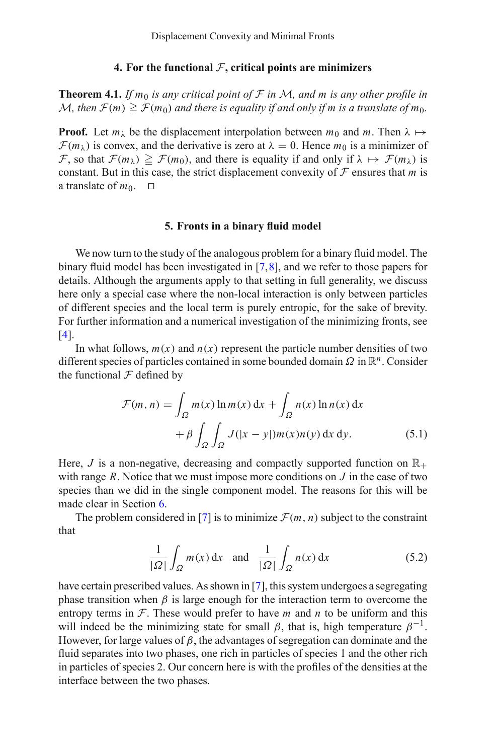# **4. For the functional** *F***, critical points are minimizers**

**Theorem 4.1.** *If*  $m_0$  *is any critical point of*  $F$  *in*  $M$ *, and*  $m$  *is any other profile in*  $\mathcal{M}$ , then  $\mathcal{F}(m) \geqq \mathcal{F}(m_0)$  and there is equality if and only if  $m$  is a translate of  $m_0$ .

**Proof.** Let  $m_\lambda$  be the displacement interpolation between  $m_0$  and  $m$ . Then  $\lambda \mapsto$  $\mathcal{F}(m_{\lambda})$  is convex, and the derivative is zero at  $\lambda = 0$ . Hence  $m_0$  is a minimizer of *F*, so that  $\mathcal{F}(m_\lambda) \geq \mathcal{F}(m_0)$ , and there is equality if and only if  $\lambda \mapsto \mathcal{F}(m_\lambda)$  is constant. But in this case, the strict displacement convexity of  $F$  ensures that  $m$  is a translate of  $m_0$ .  $\Box$ 

### **5. Fronts in a binary fluid model**

<span id="page-10-0"></span>We now turn to the study of the analogous problem for a binary fluid model. The binary fluid model has been investigated in [\[7](#page-23-10)[,8](#page-23-2)], and we refer to those papers for details. Although the arguments apply to that setting in full generality, we discuss here only a special case where the non-local interaction is only between particles of different species and the local term is purely entropic, for the sake of brevity. For further information and a numerical investigation of the minimizing fronts, see [\[4\]](#page-23-11).

In what follows,  $m(x)$  and  $n(x)$  represent the particle number densities of two different species of particles contained in some bounded domain Ω in R*n*. Consider the functional  $\mathcal F$  defined by

$$
\mathcal{F}(m, n) = \int_{\Omega} m(x) \ln m(x) dx + \int_{\Omega} n(x) \ln n(x) dx
$$

$$
+ \beta \int_{\Omega} \int_{\Omega} J(|x - y|) m(x) n(y) dx dy.
$$
(5.1)

Here, *J* is a non-negative, decreasing and compactly supported function on  $\mathbb{R}_+$ with range *R*. Notice that we must impose more conditions on *J* in the case of two species than we did in the single component model. The reasons for this will be made clear in Section [6.](#page-17-1)

The problem considered in [\[7](#page-23-10)] is to minimize  $\mathcal{F}(m, n)$  subject to the constraint that

$$
\frac{1}{|\Omega|} \int_{\Omega} m(x) dx \quad \text{and} \quad \frac{1}{|\Omega|} \int_{\Omega} n(x) dx \tag{5.2}
$$

<span id="page-10-1"></span>have certain prescribed values. As shown in [\[7](#page-23-10)], this system undergoes a segregating phase transition when  $\beta$  is large enough for the interaction term to overcome the entropy terms in  $F$ . These would prefer to have *m* and *n* to be uniform and this will indeed be the minimizing state for small  $\beta$ , that is, high temperature  $\beta^{-1}$ . However, for large values of  $\beta$ , the advantages of segregation can dominate and the fluid separates into two phases, one rich in particles of species 1 and the other rich in particles of species 2. Our concern here is with the profiles of the densities at the interface between the two phases.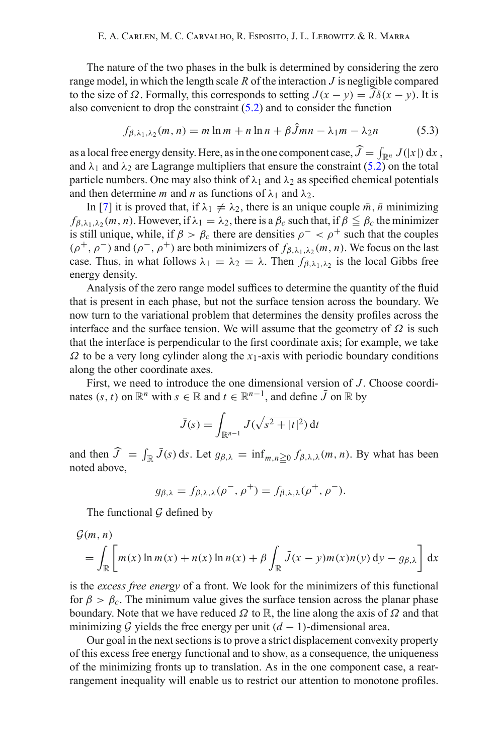The nature of the two phases in the bulk is determined by considering the zero range model, in which the length scale *R* of the interaction *J* is negligible compared to the size of  $\Omega$ . Formally, this corresponds to setting  $J(x - y) = \overline{J}\delta(x - y)$ . It is also convenient to drap the constraint (5.2) and to consider the function also convenient to drop the constraint [\(5.2\)](#page-10-1) and to consider the function

$$
f_{\beta,\lambda_1,\lambda_2}(m,n) = m \ln m + n \ln n + \beta \hat{J}mn - \lambda_1 m - \lambda_2 n \tag{5.3}
$$

as a local free energy density. Here, as in the one component case,  $J = \int_{\mathbb{R}^n} J(|x|) dx$ , and  $\lambda_1$  and  $\lambda_2$  are Lagrange multipliers that ensure the constraint [\(5.2\)](#page-10-1) on the total particle numbers. One may also think of  $\lambda_1$  and  $\lambda_2$  as specified chemical potentials and then determine *m* and *n* as functions of  $\lambda_1$  and  $\lambda_2$ .

In [\[7\]](#page-23-10) it is proved that, if  $\lambda_1 \neq \lambda_2$ , there is an unique couple  $\bar{m}$ ,  $\bar{n}$  minimizing  $f_{\beta,\lambda_1,\lambda_2}(m, n)$ . However, if  $\lambda_1 = \lambda_2$ , there is a  $\beta_c$  such that, if  $\beta \leq \beta_c$  the minimizer is still unique, while, if  $\beta > \beta_c$  there are densities  $\rho^- < \rho^+$  such that the couples  $(\rho^+, \rho^-)$  and  $(\rho^-, \rho^+)$  are both minimizers of  $f_{\beta, \lambda_1, \lambda_2}(m, n)$ . We focus on the last case. Thus, in what follows  $\lambda_1 = \lambda_2 = \lambda$ . Then  $f_{\beta, \lambda_1, \lambda_2}$  is the local Gibbs free energy density.

Analysis of the zero range model suffices to determine the quantity of the fluid that is present in each phase, but not the surface tension across the boundary. We now turn to the variational problem that determines the density profiles across the interface and the surface tension. We will assume that the geometry of  $\Omega$  is such that the interface is perpendicular to the first coordinate axis; for example, we take  $\Omega$  to be a very long cylinder along the *x*<sub>1</sub>-axis with periodic boundary conditions along the other coordinate axes.

First, we need to introduce the one dimensional version of *J*. Choose coordinates  $(s, t)$  on  $\mathbb{R}^n$  with  $s \in \mathbb{R}$  and  $t \in \mathbb{R}^{n-1}$ , and define  $\bar{J}$  on  $\mathbb{R}$  by

$$
\bar{J}(s) = \int_{\mathbb{R}^{n-1}} J(\sqrt{s^2 + |t|^2}) \, \mathrm{d}t
$$

and then  $\hat{J} = \int_{\mathbb{R}} \bar{J}(s) ds$ . Let  $g_{\beta,\lambda} = \inf_{m,n \geq 0} f_{\beta,\lambda,\lambda}(m,n)$ . By what has been noted above noted above,

$$
g_{\beta,\lambda} = f_{\beta,\lambda,\lambda}(\rho^-,\rho^+) = f_{\beta,\lambda,\lambda}(\rho^+,\rho^-).
$$

The functional *G* defined by

$$
\mathcal{G}(m, n) = \int_{\mathbb{R}} \left[ m(x) \ln m(x) + n(x) \ln n(x) + \beta \int_{\mathbb{R}} \bar{J}(x - y) m(x) n(y) \, dy - g_{\beta, \lambda} \right] dx
$$

is the *excess free energy* of a front. We look for the minimizers of this functional for  $\beta > \beta_c$ . The minimum value gives the surface tension across the planar phase boundary. Note that we have reduced  $\Omega$  to  $\mathbb{R}$ , the line along the axis of  $\Omega$  and that minimizing  $G$  yields the free energy per unit  $(d - 1)$ -dimensional area.

Our goal in the next sections is to prove a strict displacement convexity property of this excess free energy functional and to show, as a consequence, the uniqueness of the minimizing fronts up to translation. As in the one component case, a rearrangement inequality will enable us to restrict our attention to monotone profiles.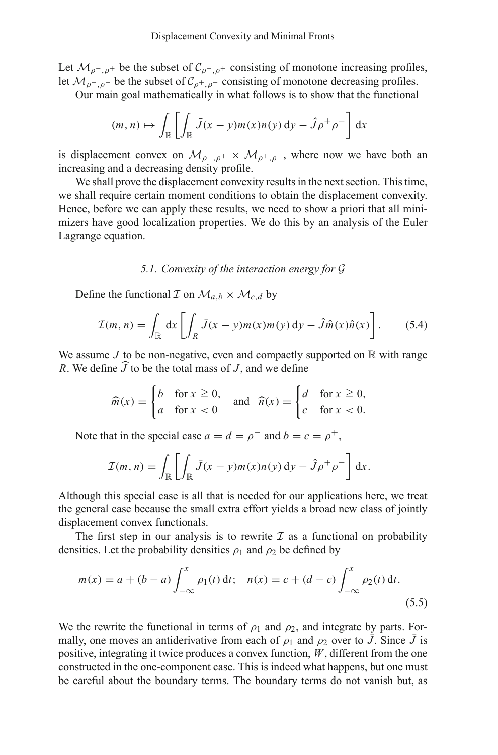Let  $\mathcal{M}_{\rho^-, \rho^+}$  be the subset of  $\mathcal{C}_{\rho^-, \rho^+}$  consisting of monotone increasing profiles, let  $\mathcal{M}_{\rho^+,\rho^-}$  be the subset of  $\mathcal{C}_{\rho^+,\rho^-}$  consisting of monotone decreasing profiles.

Our main goal mathematically in what follows is to show that the functional

$$
(m, n) \mapsto \int_{\mathbb{R}} \left[ \int_{\mathbb{R}} \bar{J}(x - y) m(x) n(y) \, \mathrm{d}y - \hat{J} \rho^+ \rho^- \right] \, \mathrm{d}x
$$

is displacement convex on  $\mathcal{M}_{\rho^-, \rho^+} \times \mathcal{M}_{\rho^+, \rho^-}$ , where now we have both an increasing and a decreasing density profile.

We shall prove the displacement convexity results in the next section. This time, we shall require certain moment conditions to obtain the displacement convexity. Hence, before we can apply these results, we need to show a priori that all minimizers have good localization properties. We do this by an analysis of the Euler Lagrange equation.

#### *5.1. Convexity of the interaction energy for G*

Define the functional *I* on  $\mathcal{M}_{a,b} \times \mathcal{M}_{c,d}$  by

$$
\mathcal{I}(m,n) = \int_{\mathbb{R}} dx \left[ \int_{R} \bar{J}(x-y)m(x)m(y) dy - \hat{J}\hat{m}(x)\hat{n}(x) \right].
$$
 (5.4)

<span id="page-12-1"></span>We assume *J* to be non-negative, even and compactly supported on  $\mathbb R$  with range *R*. We define *J* to be the total mass of *<sup>J</sup>* , and we define

$$
\widehat{m}(x) = \begin{cases} b & \text{for } x \ge 0, \\ a & \text{for } x < 0 \end{cases} \quad \text{and} \quad \widehat{n}(x) = \begin{cases} d & \text{for } x \ge 0, \\ c & \text{for } x < 0. \end{cases}
$$

Note that in the special case  $a = d = \rho^-$  and  $b = c = \rho^+$ ,

$$
\mathcal{I}(m, n) = \int_{\mathbb{R}} \left[ \int_{\mathbb{R}} \bar{J}(x - y) m(x) n(y) \, dy - \hat{J} \rho^+ \rho^- \right] dx.
$$

Although this special case is all that is needed for our applications here, we treat the general case because the small extra effort yields a broad new class of jointly displacement convex functionals.

<span id="page-12-0"></span>The first step in our analysis is to rewrite  $I$  as a functional on probability densities. Let the probability densities  $\rho_1$  and  $\rho_2$  be defined by

$$
m(x) = a + (b - a) \int_{-\infty}^{x} \rho_1(t) dt; \quad n(x) = c + (d - c) \int_{-\infty}^{x} \rho_2(t) dt.
$$
\n(5.5)

We the rewrite the functional in terms of  $\rho_1$  and  $\rho_2$ , and integrate by parts. Formally, one moves an antiderivative from each of  $\rho_1$  and  $\rho_2$  over to *J*. Since *J* is positive, integrating it twice produces a convex function, *W*, different from the one constructed in the one-component case. This is indeed what happens, but one must be careful about the boundary terms. The boundary terms do not vanish but, as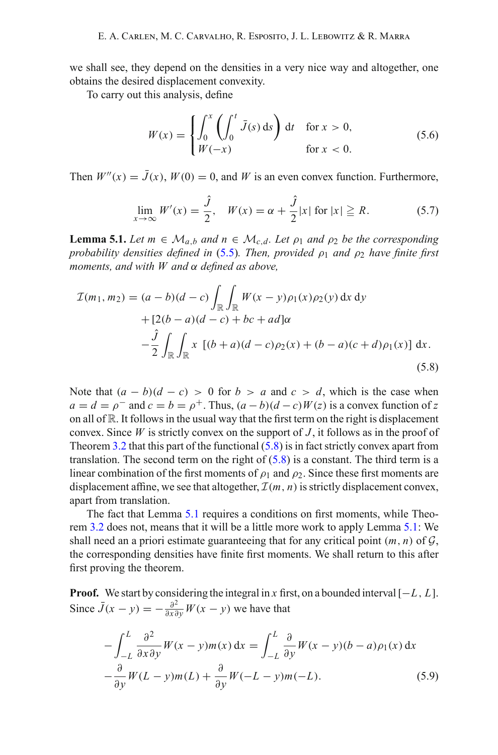we shall see, they depend on the densities in a very nice way and altogether, one obtains the desired displacement convexity.

To carry out this analysis, define

$$
W(x) = \begin{cases} \int_0^x \left( \int_0^t \bar{J}(s) \, ds \right) dt & \text{for } x > 0, \\ W(-x) & \text{for } x < 0. \end{cases}
$$
\n(5.6)

<span id="page-13-2"></span>Then  $W''(x) = \bar{J}(x)$ ,  $W(0) = 0$ , and W is an even convex function. Furthermore,

$$
\lim_{x \to \infty} W'(x) = \frac{\hat{J}}{2}, \quad W(x) = \alpha + \frac{\hat{J}}{2}|x| \text{ for } |x| \ge R. \tag{5.7}
$$

<span id="page-13-1"></span>**Lemma 5.1.** *Let*  $m \in M_{a,b}$  *and*  $n \in M_{c,d}$ *. Let*  $\rho_1$  *and*  $\rho_2$  *be the corresponding probability densities defined in* [\(5.5\)](#page-12-0). Then, provided  $\rho_1$  *and*  $\rho_2$  *have finite first moments, and with W and* α *defined as above,*

<span id="page-13-0"></span>
$$
\mathcal{I}(m_1, m_2) = (a - b)(d - c) \int_{\mathbb{R}} \int_{\mathbb{R}} W(x - y)\rho_1(x)\rho_2(y) dx dy
$$
  
+ 
$$
[2(b - a)(d - c) + bc + ad]\alpha
$$
  
- 
$$
\frac{\hat{J}}{2} \int_{\mathbb{R}} \int_{\mathbb{R}} x [(b + a)(d - c)\rho_2(x) + (b - a)(c + d)\rho_1(x)] dx.
$$
 (5.8)

Note that  $(a - b)(d - c) > 0$  for  $b > a$  and  $c > d$ , which is the case when  $a = d = \rho^-$  and  $c = b = \rho^+$ . Thus,  $(a - b)(d - c)W(z)$  is a convex function of *z* on all of  $\mathbb R$ . It follows in the usual way that the first term on the right is displacement convex. Since *W* is strictly convex on the support of *J* , it follows as in the proof of Theorem [3.2](#page-8-3) that this part of the functional  $(5.8)$  is in fact strictly convex apart from translation. The second term on the right of  $(5.8)$  is a constant. The third term is a linear combination of the first moments of  $\rho_1$  and  $\rho_2$ . Since these first moments are displacement affine, we see that altogether,  $\mathcal{I}(m, n)$  is strictly displacement convex, apart from translation.

The fact that Lemma [5.1](#page-13-1) requires a conditions on first moments, while Theorem [3.2](#page-8-3) does not, means that it will be a little more work to apply Lemma [5.1:](#page-13-1) We shall need an a priori estimate guaranteeing that for any critical point  $(m, n)$  of  $G$ , the corresponding densities have finite first moments. We shall return to this after first proving the theorem.

**Proof.** We start by considering the integral in *x* first, on a bounded interval  $[-L, L]$ . Since  $\bar{J}(x - y) = -\frac{\partial^2}{\partial x \partial y}W(x - y)$  we have that

$$
-\int_{-L}^{L} \frac{\partial^2}{\partial x \partial y} W(x - y) m(x) dx = \int_{-L}^{L} \frac{\partial}{\partial y} W(x - y)(b - a) \rho_1(x) dx
$$
  

$$
-\frac{\partial}{\partial y} W(L - y) m(L) + \frac{\partial}{\partial y} W(-L - y) m(-L).
$$
 (5.9)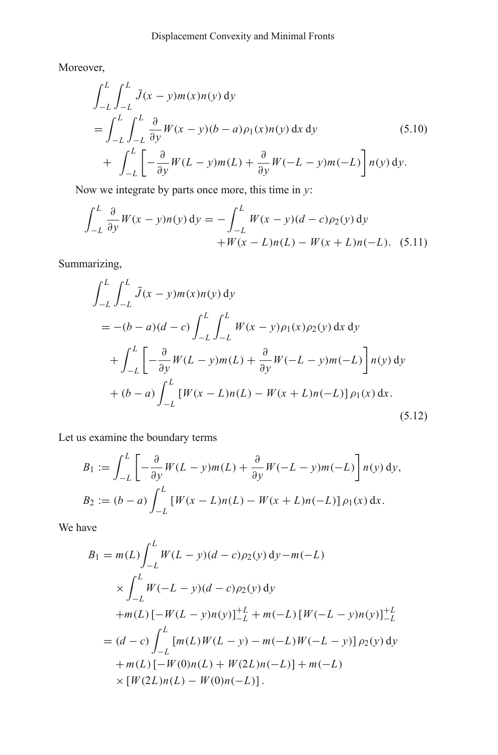Moreover,

$$
\int_{-L}^{L} \int_{-L}^{L} \bar{J}(x - y)m(x)n(y) dy
$$
\n
$$
= \int_{-L}^{L} \int_{-L}^{L} \frac{\partial}{\partial y} W(x - y)(b - a)\rho_1(x)n(y) dx dy
$$
\n
$$
+ \int_{-L}^{L} \left[ -\frac{\partial}{\partial y} W(L - y)m(L) + \frac{\partial}{\partial y} W(-L - y)m(-L) \right] n(y) dy.
$$
\n(5.10)

Now we integrate by parts once more, this time in *y*:

$$
\int_{-L}^{L} \frac{\partial}{\partial y} W(x - y) n(y) \, dy = -\int_{-L}^{L} W(x - y) (d - c) \rho_2(y) \, dy
$$

$$
+ W(x - L) n(L) - W(x + L) n(-L). \quad (5.11)
$$

Summarizing,

$$
\int_{-L}^{L} \int_{-L}^{L} \bar{J}(x - y) m(x) n(y) \, dy
$$
  
=  $-(b - a)(d - c) \int_{-L}^{L} \int_{-L}^{L} W(x - y) \rho_1(x) \rho_2(y) \, dx \, dy$   
+  $\int_{-L}^{L} \left[ -\frac{\partial}{\partial y} W(L - y) m(L) + \frac{\partial}{\partial y} W(-L - y) m(-L) \right] n(y) \, dy$   
+  $(b - a) \int_{-L}^{L} [W(x - L) n(L) - W(x + L) n(-L)] \rho_1(x) \, dx.$  (5.12)

Let us examine the boundary terms

$$
B_1 := \int_{-L}^{L} \left[ -\frac{\partial}{\partial y} W(L - y) m(L) + \frac{\partial}{\partial y} W(-L - y) m(-L) \right] n(y) dy,
$$
  
\n
$$
B_2 := (b - a) \int_{-L}^{L} \left[ W(x - L)n(L) - W(x + L)n(-L) \right] \rho_1(x) dx.
$$

We have

$$
B_1 = m(L) \int_{-L}^{L} W(L - y)(d - c)\rho_2(y) \,dy - m(-L)
$$
  
\n
$$
\times \int_{-L}^{L} W(-L - y)(d - c)\rho_2(y) \,dy
$$
  
\n
$$
+ m(L) [-W(L - y)n(y)]_{-L}^{+L} + m(-L) [W(-L - y)n(y)]_{-L}^{+L}
$$
  
\n
$$
= (d - c) \int_{-L}^{L} [m(L)W(L - y) - m(-L)W(-L - y)] \rho_2(y) \,dy
$$
  
\n
$$
+ m(L) [-W(0)n(L) + W(2L)n(-L)] + m(-L)
$$
  
\n
$$
\times [W(2L)n(L) - W(0)n(-L)].
$$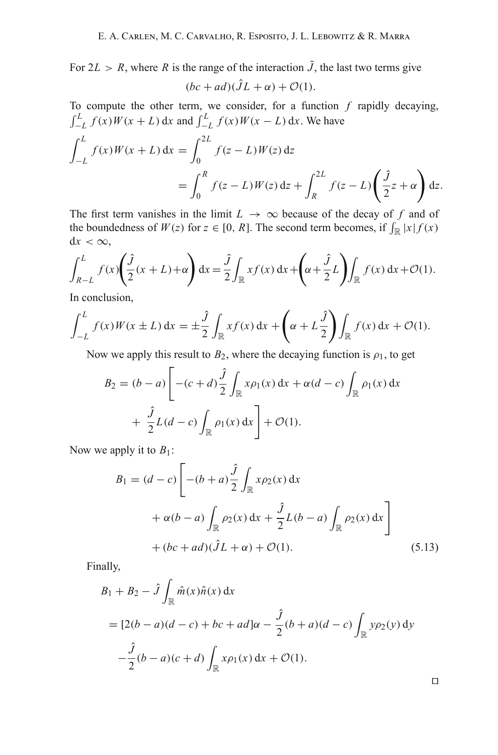For  $2L > R$ , where R is the range of the interaction  $\bar{J}$ , the last two terms give  $(bc + ad)(\hat{J}L + \alpha) + \mathcal{O}(1).$ 

To compute the other term, we consider, for a function  $f$  rapidly decaying,  $\int_{-L}^{L} f(x)W(x+L) dx$  and  $\int_{-L}^{L} f(x)W(x-L) dx$ . We have

$$
\int_{-L}^{L} f(x)W(x+L) dx = \int_{0}^{2L} f(z-L)W(z) dz
$$
  
= 
$$
\int_{0}^{R} f(z-L)W(z) dz + \int_{R}^{2L} f(z-L) \left(\frac{\hat{J}}{2}z + \alpha\right) dz.
$$

The first term vanishes in the limit  $L \rightarrow \infty$  because of the decay of f and of the boundedness of  $W(z)$  for  $z \in [0, R]$ . The second term becomes, if  $\int_{\mathbb{R}} |x| f(x)$  $dx < \infty$ ,

$$
\int_{R-L}^{L} f(x) \left( \frac{\hat{J}}{2} (x+L) + \alpha \right) dx = \frac{\hat{J}}{2} \int_{\mathbb{R}} x f(x) dx + \left( \alpha + \frac{\hat{J}}{2} L \right) \int_{\mathbb{R}} f(x) dx + \mathcal{O}(1).
$$

In conclusion,

$$
\int_{-L}^{L} f(x)W(x \pm L) dx = \pm \frac{\hat{J}}{2} \int_{\mathbb{R}} x f(x) dx + \left(\alpha + L\frac{\hat{J}}{2}\right) \int_{\mathbb{R}} f(x) dx + \mathcal{O}(1).
$$

Now we apply this result to  $B_2$ , where the decaying function is  $\rho_1$ , to get

$$
B_2 = (b - a) \left[ -(c + d) \frac{\hat{J}}{2} \int_{\mathbb{R}} x \rho_1(x) dx + \alpha(d - c) \int_{\mathbb{R}} \rho_1(x) dx \right. + \frac{\hat{J}}{2} L(d - c) \int_{\mathbb{R}} \rho_1(x) dx \right] + \mathcal{O}(1).
$$

Now we apply it to  $B_1$ :

$$
B_1 = (d - c) \left[ -(b + a) \frac{\hat{j}}{2} \int_{\mathbb{R}} x \rho_2(x) dx + \alpha(b - a) \int_{\mathbb{R}} \rho_2(x) dx + \frac{\hat{j}}{2} L(b - a) \int_{\mathbb{R}} \rho_2(x) dx \right] + (bc + ad)(\hat{J}L + \alpha) + \mathcal{O}(1).
$$
 (5.13)

Finally,

$$
B_1 + B_2 - \hat{J} \int_{\mathbb{R}} \hat{m}(x)\hat{n}(x) dx
$$
  
=  $[2(b-a)(d-c) + bc + ad]\alpha - \frac{\hat{J}}{2}(b+a)(d-c) \int_{\mathbb{R}} y\rho_2(y) dy$   
 $-\frac{\hat{J}}{2}(b-a)(c+d) \int_{\mathbb{R}} x\rho_1(x) dx + \mathcal{O}(1).$ 

 $\Box$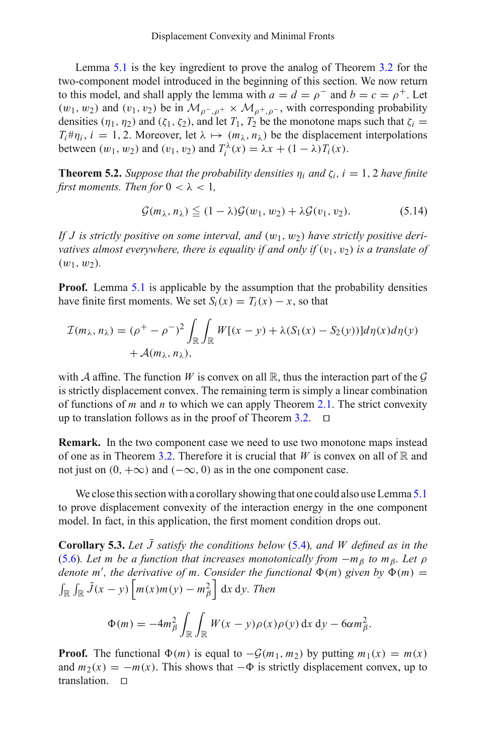Lemma [5.1](#page-13-1) is the key ingredient to prove the analog of Theorem [3.2](#page-8-3) for the two-component model introduced in the beginning of this section. We now return to this model, and shall apply the lemma with  $a = d = \rho^-$  and  $b = c = \rho^+$ . Let  $(w_1, w_2)$  and  $(v_1, v_2)$  be in  $\mathcal{M}_{\rho^-, \rho^+} \times \mathcal{M}_{\rho^+, \rho^-}$ , with corresponding probability densities  $(\eta_1, \eta_2)$  and  $(\zeta_1, \zeta_2)$ , and let  $T_1, T_2$  be the monotone maps such that  $\zeta_i =$  $T_i \# \eta_i$ ,  $i = 1, 2$ . Moreover, let  $\lambda \mapsto (m_\lambda, n_\lambda)$  be the displacement interpolations between  $(w_1, w_2)$  and  $(v_1, v_2)$  and  $T_i^{\lambda}(x) = \lambda x + (1 - \lambda)T_i(x)$ .

<span id="page-16-0"></span>**Theorem 5.2.** *Suppose that the probability densities*  $\eta_i$  *and*  $\zeta_i$ ,  $i = 1, 2$  *have finite first moments. Then for*  $0 < \lambda < 1$ ,

$$
\mathcal{G}(m_{\lambda}, n_{\lambda}) \leq (1 - \lambda)\mathcal{G}(w_1, w_2) + \lambda\mathcal{G}(v_1, v_2). \tag{5.14}
$$

If *J* is strictly positive on some interval, and  $(w_1, w_2)$  have strictly positive deri*vatives almost everywhere, there is equality if and only if*  $(v_1, v_2)$  *is a translate of*  $(w_1, w_2)$ .

**Proof.** Lemma [5.1](#page-13-1) is applicable by the assumption that the probability densities have finite first moments. We set  $S_i(x) = T_i(x) - x$ , so that

$$
\mathcal{I}(m_{\lambda}, n_{\lambda}) = (\rho^+ - \rho^-)^2 \int_{\mathbb{R}} \int_{\mathbb{R}} W[(x - y) + \lambda (S_1(x) - S_2(y))] d\eta(x) d\eta(y) + \mathcal{A}(m_{\lambda}, n_{\lambda}),
$$

with *A* affine. The function *W* is convex on all  $\mathbb{R}$ , thus the interaction part of the *G* is strictly displacement convex. The remaining term is simply a linear combination of functions of *m* and *n* to which we can apply Theorem [2.1.](#page-6-3) The strict convexity up to translation follows as in the proof of Theorem [3.2.](#page-8-3)  $\Box$ 

**Remark.** In the two component case we need to use two monotone maps instead of one as in Theorem [3.2.](#page-8-3) Therefore it is crucial that *W* is convex on all of  $\mathbb R$  and not just on  $(0, +\infty)$  and  $(-\infty, 0)$  as in the one component case.

We close this section with a corollary showing that one could also use Lemma [5.1](#page-13-1) to prove displacement convexity of the interaction energy in the one component model. In fact, in this application, the first moment condition drops out.

<span id="page-16-1"></span>**Corollary 5.3.** Let *J* satisfy the conditions below [\(5.4\)](#page-12-1), and *W* defined as in the [\(5.6\)](#page-13-2)*. Let m be a function that increases monotonically from* −*m*<sup>β</sup> *to m*β*. Let* ρ denote m', the derivative of m. Consider the functional  $\Phi(m)$  given by  $\Phi(m)$  =  $\int_{\mathbb{R}} \int_{\mathbb{R}} \bar{J}(x - y) \left[ m(x) m(y) - m_{\beta}^2 \right] dx dy$ . Then

$$
\Phi(m) = -4m_\beta^2 \int_{\mathbb{R}} \int_{\mathbb{R}} W(x - y)\rho(x)\rho(y) dx dy - 6\alpha m_\beta^2.
$$

**Proof.** The functional  $\Phi(m)$  is equal to  $-\mathcal{G}(m_1, m_2)$  by putting  $m_1(x) = m(x)$ and  $m_2(x) = -m(x)$ . This shows that  $-\Phi$  is strictly displacement convex, up to translation.  $\square$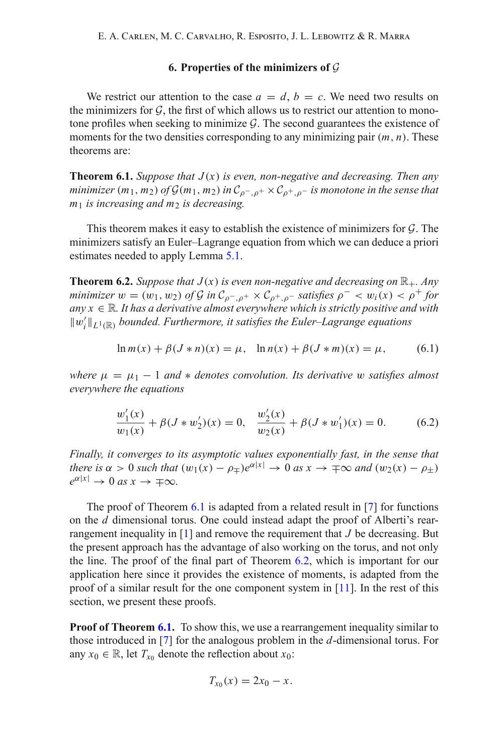### **6. Properties of the minimizers of** *G*

<span id="page-17-1"></span>We restrict our attention to the case  $a = d$ ,  $b = c$ . We need two results on the minimizers for  $G$ , the first of which allows us to restrict our attention to monotone profiles when seeking to minimize *G*. The second guarantees the existence of moments for the two densities corresponding to any minimizing pair (*m*, *n*). These theorems are:

<span id="page-17-0"></span>**Theorem 6.1.** *Suppose that*  $J(x)$  *is even, non-negative and decreasing. Then any minimizer*  $(m_1, m_2)$  *of*  $\mathcal{G}(m_1, m_2)$  *in*  $\mathcal{C}_{o^- \ o^+} \times \mathcal{C}_{o^+ \ o^-}$  *is monotone in the sense that*  $m_1$  *is increasing and m<sub>2</sub> is decreasing.* 

This theorem makes it easy to establish the existence of minimizers for *G*. The minimizers satisfy an Euler–Lagrange equation from which we can deduce a priori estimates needed to apply Lemma [5.1.](#page-13-1)

<span id="page-17-2"></span>**Theorem 6.2.** *Suppose that*  $J(x)$  *is even non-negative and decreasing on*  $\mathbb{R}_+$ *. Any minimizer*  $w = (w_1, w_2)$  *of*  $G$  *in*  $C_{\rho^-,\rho^+} \times C_{\rho^+,\rho^-}$  *satisfies*  $\rho^- \langle w_i(x) \rangle \langle \rho^+$  *for*  $any x \in \mathbb{R}$ . It has a derivative almost everywhere which is strictly positive and with  $||w'_{i}||_{L^{1}(\mathbb{R})}$  *bounded. Furthermore, it satisfies the Euler–Lagrange equations* 

$$
\ln m(x) + \beta (J * n)(x) = \mu, \quad \ln n(x) + \beta (J * m)(x) = \mu,
$$
 (6.1)

*where*  $\mu = \mu_1 - 1$  *and*  $*$  *denotes convolution. Its derivative* w *satisfies almost everywhere the equations*

$$
\frac{w_1'(x)}{w_1(x)} + \beta(J*w_2')(x) = 0, \quad \frac{w_2'(x)}{w_2(x)} + \beta(J*w_1')(x) = 0.
$$
 (6.2)

*Finally, it converges to its asymptotic values exponentially fast, in the sense that there is*  $\alpha > 0$  *such that*  $(w_1(x) - \rho_{\pm})e^{\alpha|x|} \to 0$  *as*  $x \to \pm \infty$  *and*  $(w_2(x) - \rho_{\pm})$  $e^{\alpha|x|} \to 0$  *as*  $x \to \pm \infty$ .

The proof of Theorem [6.1](#page-17-0) is adapted from a related result in [\[7\]](#page-23-10) for functions on the *d* dimensional torus. One could instead adapt the proof of Alberti's rearrangement inequality in  $[1]$  and remove the requirement that  $J$  be decreasing. But the present approach has the advantage of also working on the torus, and not only the line. The proof of the final part of Theorem [6.2,](#page-17-2) which is important for our application here since it provides the existence of moments, is adapted from the proof of a similar result for the one component system in  $[11]$  $[11]$ . In the rest of this section, we present these proofs.

**Proof of Theorem [6.1.](#page-17-0)** To show this, we use a rearrangement inequality similar to those introduced in [\[7](#page-23-10)] for the analogous problem in the *d*-dimensional torus. For any  $x_0 \in \mathbb{R}$ , let  $T_{x_0}$  denote the reflection about  $x_0$ :

$$
T_{x_0}(x) = 2x_0 - x.
$$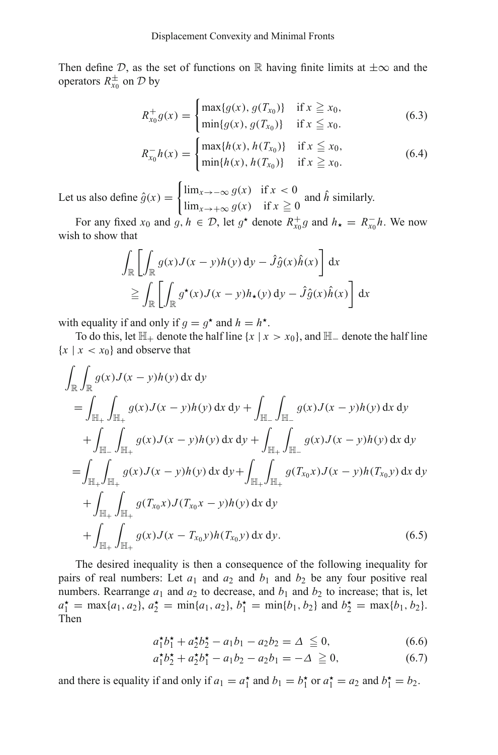Then define  $D$ , as the set of functions on R having finite limits at  $\pm \infty$  and the operators  $R_{x_0}^{\pm}$  on  $\mathcal{D}$  by

$$
R_{x_0}^+ g(x) = \begin{cases} \max\{g(x), g(T_{x_0})\} & \text{if } x \ge x_0, \\ \min\{g(x), g(T_{x_0})\} & \text{if } x \le x_0. \end{cases}
$$
(6.3)

$$
R_{x_0}^-h(x) = \begin{cases} \max\{h(x), h(T_{x_0})\} & \text{if } x \leq x_0, \\ \min\{h(x), h(T_{x_0})\} & \text{if } x \geq x_0. \end{cases}
$$
(6.4)

Let us also define  $\hat{g}(x) =$  $\lim_{x \to -\infty} g(x)$  if  $x < 0$ lim<sub>*x*→+∞</sub>  $g(x)$  if  $x \ge 0$  and  $\hat{h}$  similarly.<br>  $\lim_{x\to+\infty} g(x)$  if  $x \ge 0$  and  $\hat{h}$  similarly.

For any fixed  $x_0$  and  $g, h \in \mathcal{D}$ , let  $g^*$  denote  $R_{x_0}^+ g$  and  $h_* = R_{x_0}^- h$ . We now wish to show that

$$
\int_{\mathbb{R}} \left[ \int_{\mathbb{R}} g(x) J(x - y) h(y) \, dy - \hat{J} \hat{g}(x) \hat{h}(x) \right] dx
$$
\n
$$
\geq \int_{\mathbb{R}} \left[ \int_{\mathbb{R}} g^*(x) J(x - y) h_*(y) \, dy - \hat{J} \hat{g}(x) \hat{h}(x) \right] dx
$$

with equality if and only if  $q = q^*$  and  $h = h^*$ .

To do this, let  $\mathbb{H}_+$  denote the half line {*x* | *x* > *x*<sub>0</sub>}, and  $\mathbb{H}_-$  denote the half line  ${x \mid x < x_0}$  and observe that

$$
\int_{\mathbb{R}} \int_{\mathbb{R}} g(x) J(x - y) h(y) dx dy
$$
\n=
$$
\int_{\mathbb{H}_{+}} \int_{\mathbb{H}_{+}} g(x) J(x - y) h(y) dx dy + \int_{\mathbb{H}_{-}} \int_{\mathbb{H}_{-}} g(x) J(x - y) h(y) dx dy
$$
\n+
$$
\int_{\mathbb{H}_{-}} \int_{\mathbb{H}_{+}} g(x) J(x - y) h(y) dx dy + \int_{\mathbb{H}_{+}} \int_{\mathbb{H}_{-}} g(x) J(x - y) h(y) dx dy
$$
\n=
$$
\int_{\mathbb{H}_{+}} \int_{\mathbb{H}_{+}} g(x) J(x - y) h(y) dx dy + \int_{\mathbb{H}_{+}} \int_{\mathbb{H}_{+}} g(T_{x_{0}} x) J(x - y) h(T_{x_{0}} y) dx dy
$$
\n+
$$
\int_{\mathbb{H}_{+}} \int_{\mathbb{H}_{+}} g(T_{x_{0}} x) J(T_{x_{0}} x - y) h(y) dx dy
$$
\n+
$$
\int_{\mathbb{H}_{+}} \int_{\mathbb{H}_{+}} g(x) J(x - T_{x_{0}} y) h(T_{x_{0}} y) dx dy.
$$
\n(6.5)

The desired inequality is then a consequence of the following inequality for pairs of real numbers: Let  $a_1$  and  $a_2$  and  $b_1$  and  $b_2$  be any four positive real numbers. Rearrange  $a_1$  and  $a_2$  to decrease, and  $b_1$  and  $b_2$  to increase; that is, let  $a_1^* = \max\{a_1, a_2\}, a_2^* = \min\{a_1, a_2\}, b_1^* = \min\{b_1, b_2\}$  and  $b_2^* = \max\{b_1, b_2\}.$ Then

$$
a_1^{\star}b_1^{\star} + a_2^{\star}b_2^{\star} - a_1b_1 - a_2b_2 = \Delta \leq 0,
$$
 (6.6)

$$
a_1^{\star}b_2^{\star} + a_2^{\star}b_1^{\star} - a_1b_2 - a_2b_1 = -\Delta \ge 0, \tag{6.7}
$$

and there is equality if and only if  $a_1 = a_1^*$  and  $b_1 = b_1^*$  or  $a_1^* = a_2$  and  $b_1^* = b_2$ .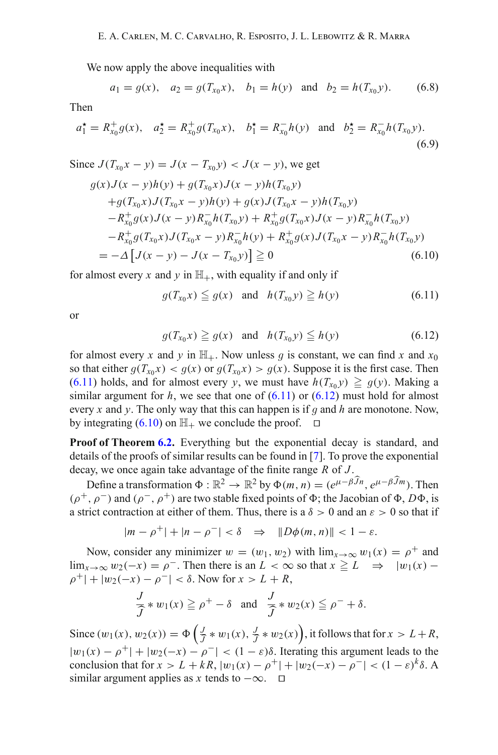We now apply the above inequalities with

$$
a_1 = g(x)
$$
,  $a_2 = g(T_{x_0}x)$ ,  $b_1 = h(y)$  and  $b_2 = h(T_{x_0}y)$ . (6.8)

Then

$$
a_1^* = R_{x_0}^+ g(x), \quad a_2^* = R_{x_0}^+ g(T_{x_0} x), \quad b_1^* = R_{x_0}^- h(y) \quad \text{and} \quad b_2^* = R_{x_0}^- h(T_{x_0} y).
$$
\n(6.9)

<span id="page-19-2"></span>Since 
$$
J(T_{x_0}x - y) = J(x - T_{x_0}y) < J(x - y)
$$
, we get  
\n
$$
g(x)J(x - y)h(y) + g(T_{x_0}x)J(x - y)h(T_{x_0}y)
$$
\n
$$
+g(T_{x_0}x)J(T_{x_0}x - y)h(y) + g(x)J(T_{x_0}x - y)h(T_{x_0}y)
$$
\n
$$
-R_{x_0}^+g(x)J(x - y)R_{x_0}^-h(T_{x_0}y) + R_{x_0}^+g(T_{x_0}x)J(x - y)R_{x_0}^-h(T_{x_0}y)
$$
\n
$$
-R_{x_0}^+g(T_{x_0}x)J(T_{x_0}x - y)R_{x_0}^-h(y) + R_{x_0}^+g(x)J(T_{x_0}x - y)R_{x_0}^-h(T_{x_0}y)
$$
\n
$$
= -\Delta \left[ J(x - y) - J(x - T_{x_0}y) \right] \ge 0 \tag{6.10}
$$

<span id="page-19-0"></span>for almost every x and y in  $\mathbb{H}_+$ , with equality if and only if

$$
g(T_{x_0}x) \leq g(x) \quad \text{and} \quad h(T_{x_0}y) \geq h(y) \tag{6.11}
$$

<span id="page-19-1"></span>or

$$
g(T_{x_0}x) \ge g(x) \quad \text{and} \quad h(T_{x_0}y) \le h(y) \tag{6.12}
$$

for almost every *x* and *y* in  $\mathbb{H}_+$ . Now unless *g* is constant, we can find *x* and  $x_0$ so that either  $g(T_{x_0}x) < g(x)$  or  $g(T_{x_0}x) > g(x)$ . Suppose it is the first case. Then  $(6.11)$  holds, and for almost every *y*, we must have  $h(T_{x_0}y) \geq g(y)$ . Making a similar aroument for *h*, we see that one of  $(6.11)$  or  $(6.12)$  must hold for almost similar argument for  $h$ , we see that one of  $(6.11)$  or  $(6.12)$  must hold for almost every *<sup>x</sup>* and *<sup>y</sup>*. The only way that this can happen is if *g* and *<sup>h</sup>* are monotone. Now, by integrating  $(6.10)$  on  $\mathbb{H}_+$  we conclude the proof.  $\Box$ 

**Proof of Theorem [6.2.](#page-17-2)** Everything but the exponential decay is standard, and details of the proofs of similar results can be found in [\[7\]](#page-23-10). To prove the exponential decay, we once again take advantage of the finite range *R* of *J* .

Define a transformation  $\Phi : \mathbb{R}^2 \to \mathbb{R}^2$  by  $\Phi(m, n) = (e^{\mu - \beta \widehat{J}n}, e^{\mu - \beta \widehat{J}m})$ . Then  $(\rho^+, \rho^-)$  and  $(\rho^-, \rho^+)$  are two stable fixed points of  $\Phi$ ; the Jacobian of  $\Phi$ ,  $D\Phi$ , is a strict contraction at either of them. Thus, there is a  $\delta > 0$  and an  $\varepsilon > 0$  so that if

$$
|m-\rho^+|+|n-\rho^-|<\delta\quad\Rightarrow\quad \|D\phi(m,n)\|<1-\varepsilon.
$$

Now, consider any minimizer  $w = (w_1, w_2)$  with  $\lim_{x\to\infty} w_1(x) = \rho^+$  and  $\lim_{x\to\infty} w_2(-x) = \rho^-$ . Then there is an *L* < ∞ so that  $x \ge L$  ⇒  $|w_1(x) \rho^+$ | +  $|w_2(-x) - \rho^-| < \delta$ . Now for  $x > L + R$ ,

$$
\frac{J}{\widehat{J}} * w_1(x) \geq \rho^+ - \delta \quad \text{and} \quad \frac{J}{\widehat{J}} * w_2(x) \leq \rho^- + \delta.
$$

Since  $(w_1(x), w_2(x)) = \Phi\left(\frac{J}{\hat{J}} * w_1(x), \frac{J}{\hat{J}} * w_2(x)\right)$ , it follows that for  $x > L + R$ ,  $|w_1(x) - \rho^+| + |w_2(-x) - \rho^-| < (1 - \varepsilon)\delta$ . Iterating this argument leads to the conclusion that for  $x > L + kR$ ,  $|w_1(x) - \rho^+| + |w_2(-x) - \rho^-| < (1 - \varepsilon)^k \delta$ . A similar argument applies as *x* tends to  $-\infty$ .  $\square$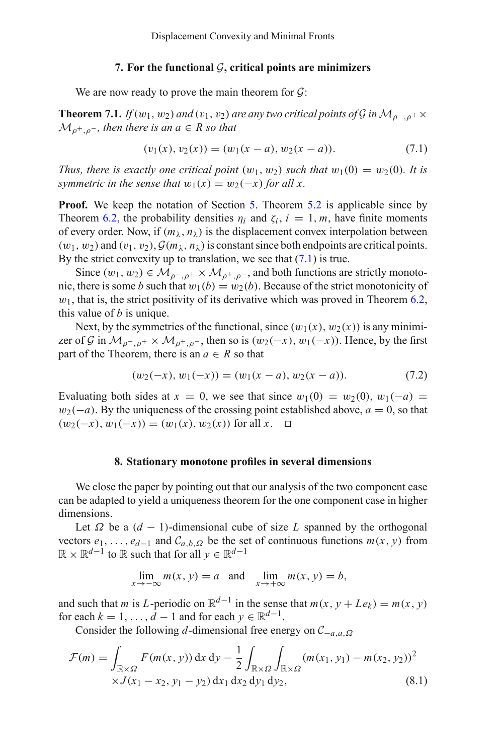### **7. For the functional** *G***, critical points are minimizers**

We are now ready to prove the main theorem for *G*:

**Theorem 7.1.** *If*(w<sub>1</sub>, w<sub>2</sub>) *and* (v<sub>1</sub>, v<sub>2</sub>) *are any two critical points of*  $G$  *in*  $M_{\rho}$ <sub> $\rho$ </sub> +  $\times$  $M_{p^+,p^-}$ *, then there is an a*  $\in$  *R so that* 

$$
(v_1(x), v_2(x)) = (w_1(x - a), w_2(x - a)).
$$
\n(7.1)

<span id="page-20-0"></span>*Thus, there is exactly one critical point*  $(w_1, w_2)$  *such that*  $w_1(0) = w_2(0)$ *. It is symmetric in the sense that*  $w_1(x) = w_2(-x)$  *for all x.* 

**Proof.** We keep the notation of Section [5.](#page-10-0) Theorem [5.2](#page-16-0) is applicable since by Theorem [6.2,](#page-17-2) the probability densities  $\eta_i$  and  $\zeta_i$ ,  $i = 1, m$ , have finite moments of every order. Now, if  $(m_\lambda, n_\lambda)$  is the displacement convex interpolation between  $(w_1, w_2)$  and  $(v_1, v_2)$ ,  $G(m_\lambda, n_\lambda)$  is constant since both endpoints are critical points. By the strict convexity up to translation, we see that  $(7.1)$  is true.

Since  $(w_1, w_2) \in \mathcal{M}_{\rho^-, \rho^+} \times \mathcal{M}_{\rho^+, \rho^-}$ , and both functions are strictly monotonic, there is some *b* such that  $w_1(b) = w_2(b)$ . Because of the strict monotonicity of  $w_1$ , that is, the strict positivity of its derivative which was proved in Theorem [6.2,](#page-17-2) this value of *b* is unique.

Next, by the symmetries of the functional, since  $(w_1(x), w_2(x))$  is any minimizer of *G* in  $\mathcal{M}_{\rho^-, \rho^+} \times \mathcal{M}_{\rho^+, \rho^-}$ , then so is  $(w_2(-x), w_1(-x))$ . Hence, by the first part of the Theorem, there is an  $a \in R$  so that

$$
(w_2(-x), w_1(-x)) = (w_1(x-a), w_2(x-a)).
$$
\n(7.2)

Evaluating both sides at  $x = 0$ , we see that since  $w_1(0) = w_2(0)$ ,  $w_1(-a) =$  $w_2(-a)$ . By the uniqueness of the crossing point established above,  $a = 0$ , so that  $(w_2(-x), w_1(-x)) = (w_1(x), w_2(x))$  for all *x*. □

#### **8. Stationary monotone profiles in several dimensions**

We close the paper by pointing out that our analysis of the two component case can be adapted to yield a uniqueness theorem for the one component case in higher dimensions.

Let  $\Omega$  be a  $(d - 1)$ -dimensional cube of size *L* spanned by the orthogonal vectors  $e_1, \ldots, e_{d-1}$  and  $C_{a,b,\Omega}$  be the set of continuous functions  $m(x, y)$  from  $\mathbb{R} \times \mathbb{R}^{d-1}$  to  $\mathbb{R}$  such that for all *y* ∈  $\mathbb{R}^{d-1}$ 

$$
\lim_{x \to -\infty} m(x, y) = a \text{ and } \lim_{x \to +\infty} m(x, y) = b,
$$

and such that *m* is *L*-periodic on  $\mathbb{R}^{d-1}$  in the sense that  $m(x, y + Le_k) = m(x, y)$ for each  $k = 1, \ldots, d - 1$  and for each  $\gamma \in \mathbb{R}^{d-1}$ .

Consider the following *d*-dimensional free energy on *C*−*a*,*a*,Ω

$$
\mathcal{F}(m) = \int_{\mathbb{R} \times \Omega} F(m(x, y)) dx dy - \frac{1}{2} \int_{\mathbb{R} \times \Omega} \int_{\mathbb{R} \times \Omega} (m(x_1, y_1) - m(x_2, y_2))^2
$$
  
 
$$
\times J(x_1 - x_2, y_1 - y_2) dx_1 dx_2 dy_1 dy_2,
$$
 (8.1)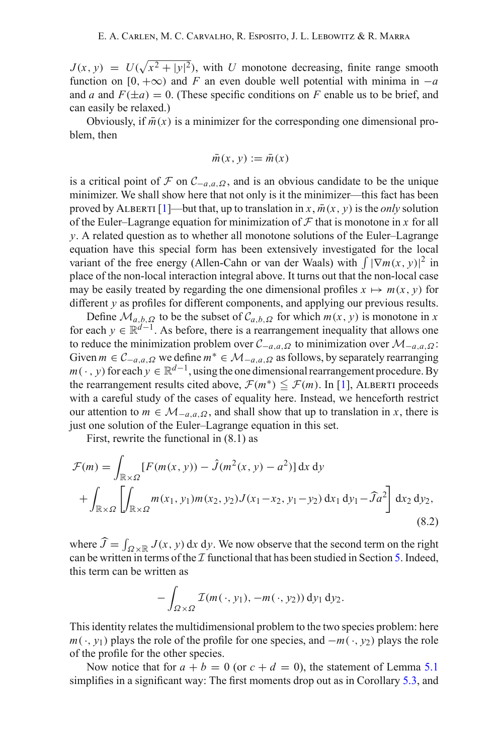$J(x, y) = U(\sqrt{x^2 + |y|^2})$ , with *U* monotone decreasing, finite range smooth function on [0, + $\infty$ ) and *F* an even double well potential with minima in  $-a$ and *a* and  $F(\pm a) = 0$ . (These specific conditions on *F* enable us to be brief, and can easily be relaxed.)

Obviously, if  $\bar{m}(x)$  is a minimizer for the corresponding one dimensional problem, then

$$
\bar{m}(x, y) := \bar{m}(x)
$$

is a critical point of  $\mathcal F$  on  $\mathcal C_{-a,a,\Omega}$ , and is an obvious candidate to be the unique minimizer. We shall show here that not only is it the minimizer—this fact has been proved by ALBERTI [\[1\]](#page-22-0)—but that, up to translation in *x*,  $\overline{m}(x, y)$  is the *only* solution of the Euler–Lagrange equation for minimization of  $F$  that is monotone in  $x$  for all *y*. A related question as to whether all monotone solutions of the Euler–Lagrange equation have this special form has been extensively investigated for the local variant of the free energy (Allen-Cahn or van der Waals) with  $\int |\nabla m(x, y)|^2$  in place of the non-local interaction integral above. It turns out that the non-local case may be easily treated by regarding the one dimensional profiles  $x \mapsto m(x, y)$  for different *y* as profiles for different components, and applying our previous results.

Define  $\mathcal{M}_{a,b,\Omega}$  to be the subset of  $\mathcal{C}_{a,b,\Omega}$  for which  $m(x, y)$  is monotone in *x* for each  $y \in \mathbb{R}^{d-1}$ . As before, there is a rearrangement inequality that allows one to reduce the minimization problem over  $C_{-a,a,\Omega}$  to minimization over  $\mathcal{M}_{-a,a,\Omega}$ : Given  $m \in \mathcal{C}_{-a,a,\Omega}$  we define  $m^* \in \mathcal{M}_{-a,a,\Omega}$  as follows, by separately rearranging  $m(\cdot, y)$  for each  $y \in \mathbb{R}^{d-1}$ , using the one dimensional rearrangement procedure. By the rearrangement results cited above,  $\mathcal{F}(m^*) \leq \mathcal{F}(m)$ . In [\[1\]](#page-22-0), ALBERTI proceeds with a careful study of the cases of equality here. Instead, we henceforth restrict our attention to  $m \in M_{-a,a,\Omega}$ , and shall show that up to translation in *x*, there is just one solution of the Euler–Lagrange equation in this set.

First, rewrite the functional in (8.1) as

$$
\mathcal{F}(m) = \int_{\mathbb{R} \times \Omega} [F(m(x, y)) - \hat{J}(m^2(x, y) - a^2)] \, dx \, dy
$$
  
+ 
$$
\int_{\mathbb{R} \times \Omega} \left[ \int_{\mathbb{R} \times \Omega} m(x_1, y_1) m(x_2, y_2) J(x_1 - x_2, y_1 - y_2) \, dx_1 \, dy_1 - \hat{J}a^2 \right] dx_2 \, dy_2,
$$
(8.2)

where  $\hat{J} = \int_{\Omega \times \mathbb{R}} J(x, y) dx dy$ . We now observe that the second term on the right can be written in terms of the  $I$  functional that has been studied in Section [5.](#page-10-0) Indeed, this term can be written as

$$
-\int_{\Omega\times\Omega}\mathcal{I}(m(\cdot,y_1),-m(\cdot,y_2))\,\mathrm{d}y_1\,\mathrm{d}y_2.
$$

This identity relates the multidimensional problem to the two species problem: here *m*(·, *y*<sub>1</sub>) plays the role of the profile for one species, and −*m*(·, *y*<sub>2</sub>) plays the role of the profile for the other species.

Now notice that for  $a + b = 0$  (or  $c + d = 0$ ), the statement of Lemma [5.1](#page-13-1) simplifies in a significant way: The first moments drop out as in Corollary [5.3,](#page-16-1) and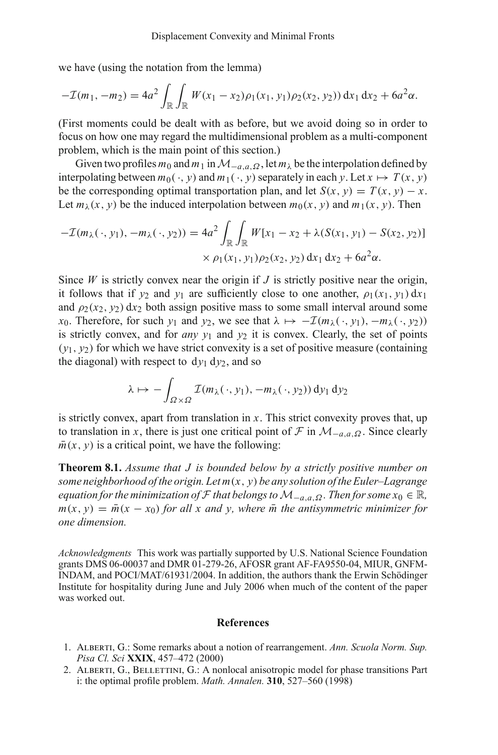we have (using the notation from the lemma)

$$
-\mathcal{I}(m_1, -m_2) = 4a^2 \int_{\mathbb{R}} \int_{\mathbb{R}} W(x_1 - x_2) \rho_1(x_1, y_1) \rho_2(x_2, y_2) dx_1 dx_2 + 6a^2 \alpha.
$$

(First moments could be dealt with as before, but we avoid doing so in order to focus on how one may regard the multidimensional problem as a multi-component problem, which is the main point of this section.)

Given two profiles  $m_0$  and  $m_1$  in  $\mathcal{M}_{-a,a,\Omega}$ , let  $m_\lambda$  be the interpolation defined by interpolating between  $m_0(\cdot, v)$  and  $m_1(\cdot, v)$  separately in each  $v$ . Let  $x \mapsto T(x, v)$ be the corresponding optimal transportation plan, and let  $S(x, y) = T(x, y) - x$ . Let  $m_\lambda(x, y)$  be the induced interpolation between  $m_0(x, y)$  and  $m_1(x, y)$ . Then

$$
- \mathcal{I}(m_{\lambda}(\cdot, y_1), -m_{\lambda}(\cdot, y_2)) = 4a^2 \int_{\mathbb{R}} \int_{\mathbb{R}} W[x_1 - x_2 + \lambda(S(x_1, y_1) - S(x_2, y_2)]
$$
  
 
$$
\times \rho_1(x_1, y_1)\rho_2(x_2, y_2) dx_1 dx_2 + 6a^2 \alpha.
$$

Since *W* is strictly convex near the origin if  $J$  is strictly positive near the origin, it follows that if  $v_2$  and  $v_1$  are sufficiently close to one another,  $\rho_1(x_1, v_1) dx_1$ and  $\rho_2(x_2, y_2)$  dx<sub>2</sub> both assign positive mass to some small interval around some *x*<sub>0</sub>. Therefore, for such *y*<sub>1</sub> and *y*<sub>2</sub>, we see that  $\lambda \mapsto -\mathcal{I}(m_{\lambda}(\cdot, y_1), -m_{\lambda}(\cdot, y_2))$ is strictly convex, and for *any*  $y_1$  and  $y_2$  it is convex. Clearly, the set of points  $(y_1, y_2)$  for which we have strict convexity is a set of positive measure (containing the diagonal) with respect to  $dy_1 dy_2$ , and so

$$
\lambda \mapsto -\int_{\Omega \times \Omega} \mathcal{I}(m_{\lambda}(\cdot, y_1), -m_{\lambda}(\cdot, y_2)) \, dy_1 \, dy_2
$$

is strictly convex, apart from translation in *x*. This strict convexity proves that, up to translation in *x*, there is just one critical point of  $\mathcal F$  in  $\mathcal M_{-a,a,\Omega}$ . Since clearly  $\bar{m}(x, y)$  is a critical point, we have the following:

**Theorem 8.1.** *Assume that J is bounded below by a strictly positive number on some neighborhood of the origin. Let m*(*x*, *y*) *be any solution of the Euler–Lagrange equation for the minimization of*  $\mathcal F$  *that belongs to*  $\mathcal M_{-a,a,Q}$ . Then for some  $x_0 \in \mathbb R$ ,  $m(x, y) = \bar{m}(x - x_0)$  *for all x and y, where*  $\bar{m}$  *the antisymmetric minimizer for one dimension.*

*Acknowledgments* This work was partially supported by U.S. National Science Foundation grants DMS 06-00037 and DMR 01-279-26, AFOSR grant AF-FA9550-04, MIUR, GNFM-INDAM, and POCI/MAT/61931/2004. In addition, the authors thank the Erwin Schödinger Institute for hospitality during June and July 2006 when much of the content of the paper was worked out.

#### **References**

- <span id="page-22-0"></span>1. Alberti, G.: Some remarks about a notion of rearrangement. *Ann. Scuola Norm. Sup. Pisa Cl. Sci* **XXIX**, 457–472 (2000)
- <span id="page-22-1"></span>2. ALBERTI, G., BELLETTINI, G.: A nonlocal anisotropic model for phase transitions Part i: the optimal profile problem. *Math. Annalen.* **310**, 527–560 (1998)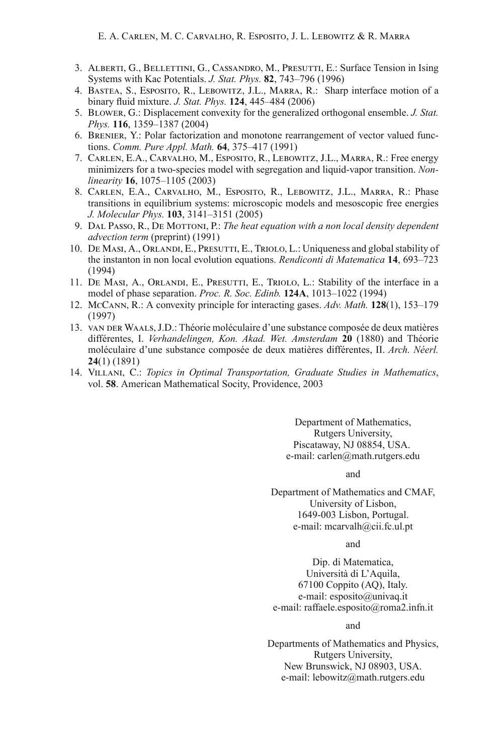- <span id="page-23-3"></span>3. Alberti, G., Bellettini, G., Cassandro, M., Presutti, E.: Surface Tension in Ising Systems with Kac Potentials. *J. Stat. Phys.* **82**, 743–796 (1996)
- <span id="page-23-11"></span>4. Bastea, S., Esposito, R., Lebowitz, J.L., Marra, R.: Sharp interface motion of a binary fluid mixture. *J. Stat. Phys.* **124**, 445–484 (2006)
- <span id="page-23-9"></span>5. Blower, G.: Displacement convexity for the generalized orthogonal ensemble. *J. Stat. Phys.* **116**, 1359–1387 (2004)
- <span id="page-23-7"></span>6. Brenier, Y.: Polar factorization and monotone rearrangement of vector valued functions. *Comm. Pure Appl. Math.* **64**, 375–417 (1991)
- <span id="page-23-10"></span>7. Carlen, E.A., Carvalho, M., Esposito, R., Lebowitz, J.L., Marra, R.: Free energy minimizers for a two-species model with segregation and liquid-vapor transition. *Nonlinearity* **16**, 1075–1105 (2003)
- <span id="page-23-2"></span>8. Carlen, E.A., Carvalho, M., Esposito, R., Lebowitz, J.L., Marra, R.: Phase transitions in equilibrium systems: microscopic models and mesoscopic free energies *J. Molecular Phys.* **103**, 3141–3151 (2005)
- 9. Dal Passo, R., De Mottoni, P.: *The heat equation with a non local density dependent advection term* (preprint) (1991)
- <span id="page-23-5"></span><span id="page-23-0"></span>10. De Masi, A., Orlandi, E., Presutti, E., Triolo, L.: Uniqueness and global stability of the instanton in non local evolution equations. *Rendiconti di Matematica* **14**, 693–723 (1994)
- <span id="page-23-4"></span>11. DE MASI, A., ORLANDI, E., PRESUTTI, E., TRIOLO, L.: Stability of the interface in a model of phase separation. *Proc. R. Soc. Edinb.* **124A**, 1013–1022 (1994)
- <span id="page-23-6"></span>12. McCann, R.: A convexity principle for interacting gases. *Adv. Math.* **128**(1), 153–179 (1997)
- <span id="page-23-1"></span>13. van der Waals, J.D.: Théorie moléculaire d'une substance composée de deux matières différentes, I. *Verhandelingen, Kon. Akad. Wet. Amsterdam* **20** (1880) and Théorie moléculaire d'une substance composée de deux matières différentes, II. *Arch. Néerl.* **24**(1) (1891)
- <span id="page-23-8"></span>14. Villani, C.: *Topics in Optimal Transportation, Graduate Studies in Mathematics*, vol. **58**. American Mathematical Socity, Providence, 2003

Department of Mathematics, Rutgers University, Piscataway, NJ 08854, USA. e-mail: carlen@math.rutgers.edu

and

Department of Mathematics and CMAF, University of Lisbon, 1649-003 Lisbon, Portugal. e-mail: mcarvalh@cii.fc.ul.pt

and

Dip. di Matematica, Università di L'Aquila, 67100 Coppito (AQ), Italy. e-mail: esposito@univaq.it e-mail: raffaele.esposito@roma2.infn.it

and

Departments of Mathematics and Physics, Rutgers University, New Brunswick, NJ 08903, USA. e-mail: lebowitz@math.rutgers.edu